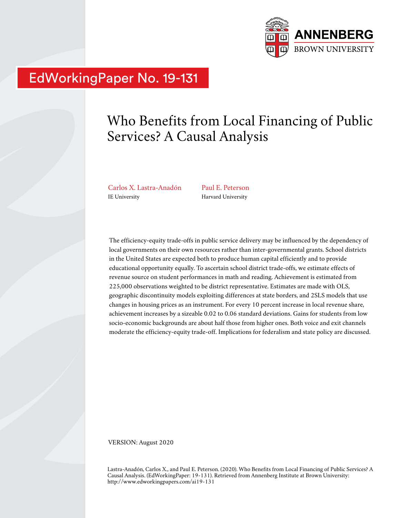

# EdWorkingPaper No. 19-131

# Who Benefits from Local Financing of Public Services? A Causal Analysis

Carlos X. Lastra-Anadón IE University

Paul E. Peterson Harvard University

The efficiency-equity trade-offs in public service delivery may be influenced by the dependency of local governments on their own resources rather than inter-governmental grants. School districts in the United States are expected both to produce human capital efficiently and to provide educational opportunity equally. To ascertain school district trade-offs, we estimate effects of revenue source on student performances in math and reading. Achievement is estimated from 225,000 observations weighted to be district representative. Estimates are made with OLS, geographic discontinuity models exploiting differences at state borders, and 2SLS models that use changes in housing prices as an instrument. For every 10 percent increase in local revenue share, achievement increases by a sizeable 0.02 to 0.06 standard deviations. Gains for students from low socio-economic backgrounds are about half those from higher ones. Both voice and exit channels moderate the efficiency-equity trade-off. Implications for federalism and state policy are discussed.

VERSION: August 2020

Lastra-Anadón, Carlos X., and Paul E. Peterson. (2020). Who Benefits from Local Financing of Public Services? A Causal Analysis. (EdWorkingPaper: 19-131). Retrieved from Annenberg Institute at Brown University: http://www.edworkingpapers.com/ai19-131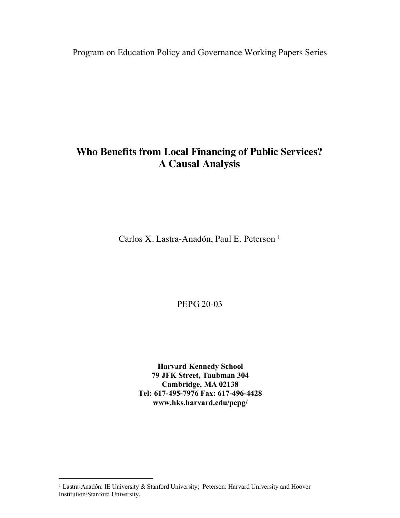Program on Education Policy and Governance Working Papers Series

## **Who Benefits from Local Financing of Public Services? A Causal Analysis**

Carlos X. Lastra-Anadón, Paul E. Peterson<sup>1</sup>

PEPG 20-03

**Harvard Kennedy School 79 JFK Street, Taubman 304 Cambridge, MA 02138 Tel: 617-495-7976 Fax: 617-496-4428 www.hks.harvard.edu/pepg/**

<sup>&</sup>lt;sup>1</sup> Lastra-Anadón: IE University & Stanford University; Peterson: Harvard University and Hoover Institution/Stanford University.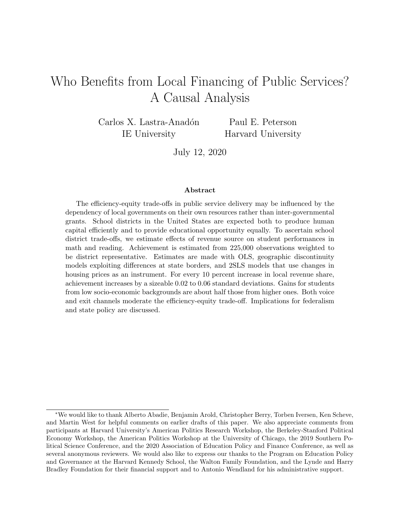## Who Benefits from Local Financing of Public Services? A Causal Analysis

Carlos X. Lastra-Anadón IE University

Paul E. Peterson Harvard University

July 12, 2020

#### Abstract

The efficiency-equity trade-offs in public service delivery may be influenced by the dependency of local governments on their own resources rather than inter-governmental grants. School districts in the United States are expected both to produce human capital efficiently and to provide educational opportunity equally. To ascertain school district trade-offs, we estimate effects of revenue source on student performances in math and reading. Achievement is estimated from 225,000 observations weighted to be district representative. Estimates are made with OLS, geographic discontinuity models exploiting differences at state borders, and 2SLS models that use changes in housing prices as an instrument. For every 10 percent increase in local revenue share, achievement increases by a sizeable 0.02 to 0.06 standard deviations. Gains for students from low socio-economic backgrounds are about half those from higher ones. Both voice and exit channels moderate the efficiency-equity trade-off. Implications for federalism and state policy are discussed.

<sup>∗</sup>We would like to thank Alberto Abadie, Benjamin Arold, Christopher Berry, Torben Iversen, Ken Scheve, and Martin West for helpful comments on earlier drafts of this paper. We also appreciate comments from participants at Harvard University's American Politics Research Workshop, the Berkeley-Stanford Political Economy Workshop, the American Politics Workshop at the University of Chicago, the 2019 Southern Political Science Conference, and the 2020 Association of Education Policy and Finance Conference, as well as several anonymous reviewers. We would also like to express our thanks to the Program on Education Policy and Governance at the Harvard Kennedy School, the Walton Family Foundation, and the Lynde and Harry Bradley Foundation for their financial support and to Antonio Wendland for his administrative support.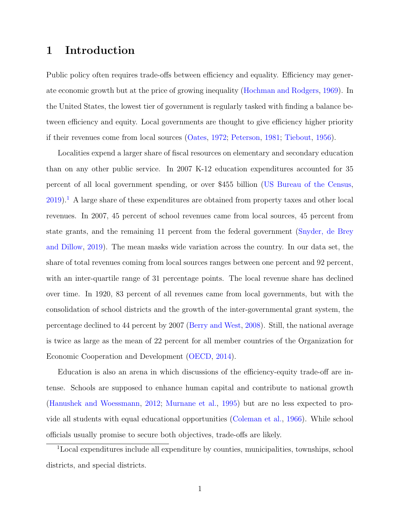## 1 Introduction

Public policy often requires trade-offs between efficiency and equality. Efficiency may generate economic growth but at the price of growing inequality [\(Hochman and Rodgers,](#page-34-0) [1969\)](#page-34-0). In the United States, the lowest tier of government is regularly tasked with finding a balance between efficiency and equity. Local governments are thought to give efficiency higher priority if their revenues come from local sources [\(Oates,](#page-36-0) [1972;](#page-36-0) [Peterson,](#page-36-1) [1981;](#page-36-1) [Tiebout,](#page-37-0) [1956\)](#page-37-0).

Localities expend a larger share of fiscal resources on elementary and secondary education than on any other public service. In 2007 K-12 education expenditures accounted for 35 percent of all local government spending, or over \$455 billion [\(US Bureau of the Census,](#page-37-1)  $2019$  $2019$  $2019$ .<sup>1</sup> A large share of these expenditures are obtained from property taxes and other local revenues. In 2007, 45 percent of school revenues came from local sources, 45 percent from state grants, and the remaining 11 percent from the federal government [\(Snyder, de Brey](#page-36-2) [and Dillow,](#page-36-2) [2019\)](#page-36-2). The mean masks wide variation across the country. In our data set, the share of total revenues coming from local sources ranges between one percent and 92 percent, with an inter-quartile range of 31 percentage points. The local revenue share has declined over time. In 1920, 83 percent of all revenues came from local governments, but with the consolidation of school districts and the growth of the inter-governmental grant system, the percentage declined to 44 percent by 2007 [\(Berry and West,](#page-33-0) [2008\)](#page-33-0). Still, the national average is twice as large as the mean of 22 percent for all member countries of the Organization for Economic Cooperation and Development [\(OECD,](#page-36-3) [2014\)](#page-36-3).

Education is also an arena in which discussions of the efficiency-equity trade-off are intense. Schools are supposed to enhance human capital and contribute to national growth [\(Hanushek and Woessmann,](#page-34-1) [2012;](#page-34-1) [Murnane et al.,](#page-35-0) [1995\)](#page-35-0) but are no less expected to provide all students with equal educational opportunities [\(Coleman et al.,](#page-33-1) [1966\)](#page-33-1). While school officials usually promise to secure both objectives, trade-offs are likely.

<span id="page-3-0"></span><sup>1</sup>Local expenditures include all expenditure by counties, municipalities, townships, school districts, and special districts.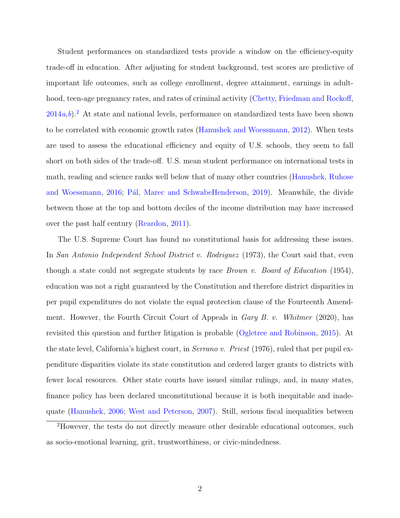Student performances on standardized tests provide a window on the efficiency-equity trade-off in education. After adjusting for student background, test scores are predictive of important life outcomes, such as college enrollment, degree attainment, earnings in adult-hood, teen-age pregnancy rates, and rates of criminal activity [\(Chetty, Friedman and Rockoff,](#page-33-2)  $2014a,b$  $2014a,b$  $2014a,b$ .<sup>[2](#page-4-0)</sup> At state and national levels, performance on standardized tests have been shown to be correlated with economic growth rates [\(Hanushek and Woessmann,](#page-34-1) [2012\)](#page-34-1). When tests are used to assess the educational efficiency and equity of U.S. schools, they seem to fall short on both sides of the trade-off. U.S. mean student performance on international tests in math, reading and science ranks well below that of many other countries [\(Hanushek, Ruhose](#page-34-2) [and Woessmann,](#page-34-2) [2016;](#page-34-2) Pál, Marec and SchwabeHenderson, [2019\)](#page-36-4). Meanwhile, the divide between those at the top and bottom deciles of the income distribution may have increased over the past half century [\(Reardon,](#page-36-5) [2011\)](#page-36-5).

The U.S. Supreme Court has found no constitutional basis for addressing these issues. In San Antonio Independent School District v. Rodriguez (1973), the Court said that, even though a state could not segregate students by race *Brown v. Board of Education* (1954), education was not a right guaranteed by the Constitution and therefore district disparities in per pupil expenditures do not violate the equal protection clause of the Fourteenth Amendment. However, the Fourth Circuit Court of Appeals in *Gary B. v. Whitmer* (2020), has revisited this question and further litigation is probable [\(Ogletree and Robinson,](#page-36-6) [2015\)](#page-36-6). At the state level, California's highest court, in *Serrano v. Priest* (1976), ruled that per pupil expenditure disparities violate its state constitution and ordered larger grants to districts with fewer local resources. Other state courts have issued similar rulings, and, in many states, finance policy has been declared unconstitutional because it is both inequitable and inadequate [\(Hanushek,](#page-34-3) [2006;](#page-34-3) [West and Peterson,](#page-37-2) [2007\)](#page-37-2). Still, serious fiscal inequalities between

<span id="page-4-0"></span><sup>2</sup>However, the tests do not directly measure other desirable educational outcomes, such as socio-emotional learning, grit, trustworthiness, or civic-mindedness.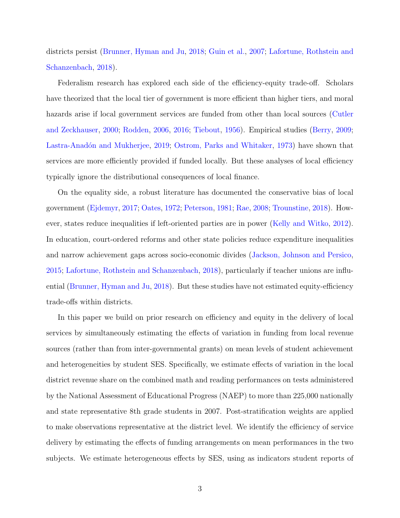districts persist [\(Brunner, Hyman and Ju,](#page-33-4) [2018;](#page-33-4) [Guin et al.,](#page-34-4) [2007;](#page-34-4) [Lafortune, Rothstein and](#page-35-1) [Schanzenbach,](#page-35-1) [2018\)](#page-35-1).

Federalism research has explored each side of the efficiency-equity trade-off. Scholars have theorized that the local tier of government is more efficient than higher tiers, and moral hazards arise if local government services are funded from other than local sources [\(Cutler](#page-33-5) [and Zeckhauser,](#page-33-5) [2000;](#page-33-5) [Rodden,](#page-36-7) [2006,](#page-36-7) [2016;](#page-36-8) [Tiebout,](#page-37-0) [1956\)](#page-37-0). Empirical studies [\(Berry,](#page-33-6) [2009;](#page-33-6) Lastra-Anadón and Mukherjee, [2019;](#page-35-2) [Ostrom, Parks and Whitaker,](#page-36-9) [1973\)](#page-36-9) have shown that services are more efficiently provided if funded locally. But these analyses of local efficiency typically ignore the distributional consequences of local finance.

On the equality side, a robust literature has documented the conservative bias of local government [\(Ejdemyr,](#page-34-5) [2017;](#page-34-5) [Oates,](#page-36-0) [1972;](#page-36-0) [Peterson,](#page-36-1) [1981;](#page-36-1) [Rae,](#page-36-10) [2008;](#page-36-10) [Trounstine,](#page-37-3) [2018\)](#page-37-3). However, states reduce inequalities if left-oriented parties are in power [\(Kelly and Witko,](#page-35-3) [2012\)](#page-35-3). In education, court-ordered reforms and other state policies reduce expenditure inequalities and narrow achievement gaps across socio-economic divides [\(Jackson, Johnson and Persico,](#page-34-6) [2015;](#page-34-6) [Lafortune, Rothstein and Schanzenbach,](#page-35-1) [2018\)](#page-35-1), particularly if teacher unions are influential [\(Brunner, Hyman and Ju,](#page-33-4) [2018\)](#page-33-4). But these studies have not estimated equity-efficiency trade-offs within districts.

In this paper we build on prior research on efficiency and equity in the delivery of local services by simultaneously estimating the effects of variation in funding from local revenue sources (rather than from inter-governmental grants) on mean levels of student achievement and heterogeneities by student SES. Specifically, we estimate effects of variation in the local district revenue share on the combined math and reading performances on tests administered by the National Assessment of Educational Progress (NAEP) to more than 225,000 nationally and state representative 8th grade students in 2007. Post-stratification weights are applied to make observations representative at the district level. We identify the efficiency of service delivery by estimating the effects of funding arrangements on mean performances in the two subjects. We estimate heterogeneous effects by SES, using as indicators student reports of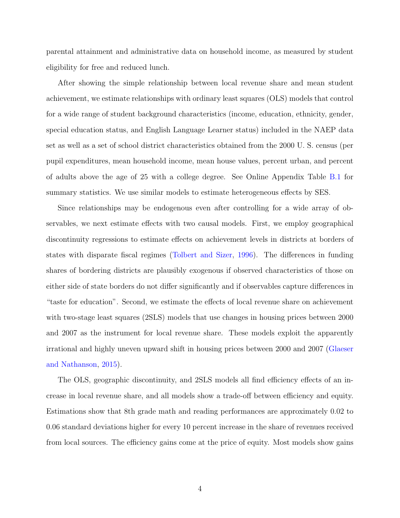parental attainment and administrative data on household income, as measured by student eligibility for free and reduced lunch.

After showing the simple relationship between local revenue share and mean student achievement, we estimate relationships with ordinary least squares (OLS) models that control for a wide range of student background characteristics (income, education, ethnicity, gender, special education status, and English Language Learner status) included in the NAEP data set as well as a set of school district characteristics obtained from the 2000 U. S. census (per pupil expenditures, mean household income, mean house values, percent urban, and percent of adults above the age of 25 with a college degree. See Online Appendix Table [B.1](#page--1-0) for summary statistics. We use similar models to estimate heterogeneous effects by SES.

Since relationships may be endogenous even after controlling for a wide array of observables, we next estimate effects with two causal models. First, we employ geographical discontinuity regressions to estimate effects on achievement levels in districts at borders of states with disparate fiscal regimes [\(Tolbert and Sizer,](#page-37-4) [1996\)](#page-37-4). The differences in funding shares of bordering districts are plausibly exogenous if observed characteristics of those on either side of state borders do not differ significantly and if observables capture differences in "taste for education". Second, we estimate the effects of local revenue share on achievement with two-stage least squares (2SLS) models that use changes in housing prices between 2000 and 2007 as the instrument for local revenue share. These models exploit the apparently irrational and highly uneven upward shift in housing prices between 2000 and 2007 [\(Glaeser](#page-34-7) [and Nathanson,](#page-34-7) [2015\)](#page-34-7).

The OLS, geographic discontinuity, and 2SLS models all find efficiency effects of an increase in local revenue share, and all models show a trade-off between efficiency and equity. Estimations show that 8th grade math and reading performances are approximately 0.02 to 0.06 standard deviations higher for every 10 percent increase in the share of revenues received from local sources. The efficiency gains come at the price of equity. Most models show gains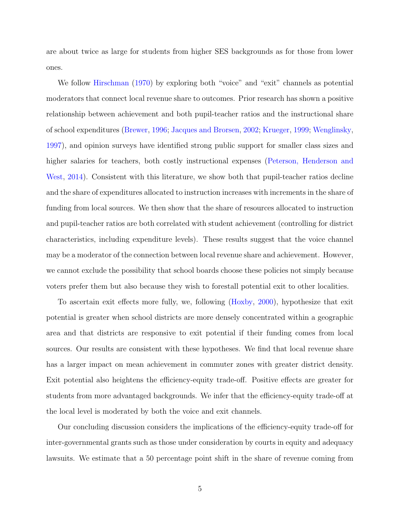are about twice as large for students from higher SES backgrounds as for those from lower ones.

We follow [Hirschman](#page-34-8) [\(1970\)](#page-34-8) by exploring both "voice" and "exit" channels as potential moderators that connect local revenue share to outcomes. Prior research has shown a positive relationship between achievement and both pupil-teacher ratios and the instructional share of school expenditures [\(Brewer,](#page-33-7) [1996;](#page-33-7) [Jacques and Brorsen,](#page-35-4) [2002;](#page-35-4) [Krueger,](#page-35-5) [1999;](#page-35-5) [Wenglinsky,](#page-37-5) [1997\)](#page-37-5), and opinion surveys have identified strong public support for smaller class sizes and higher salaries for teachers, both costly instructional expenses [\(Peterson, Henderson and](#page-36-11) [West,](#page-36-11) [2014\)](#page-36-11). Consistent with this literature, we show both that pupil-teacher ratios decline and the share of expenditures allocated to instruction increases with increments in the share of funding from local sources. We then show that the share of resources allocated to instruction and pupil-teacher ratios are both correlated with student achievement (controlling for district characteristics, including expenditure levels). These results suggest that the voice channel may be a moderator of the connection between local revenue share and achievement. However, we cannot exclude the possibility that school boards choose these policies not simply because voters prefer them but also because they wish to forestall potential exit to other localities.

To ascertain exit effects more fully, we, following [\(Hoxby,](#page-34-9) [2000\)](#page-34-9), hypothesize that exit potential is greater when school districts are more densely concentrated within a geographic area and that districts are responsive to exit potential if their funding comes from local sources. Our results are consistent with these hypotheses. We find that local revenue share has a larger impact on mean achievement in commuter zones with greater district density. Exit potential also heightens the efficiency-equity trade-off. Positive effects are greater for students from more advantaged backgrounds. We infer that the efficiency-equity trade-off at the local level is moderated by both the voice and exit channels.

Our concluding discussion considers the implications of the efficiency-equity trade-off for inter-governmental grants such as those under consideration by courts in equity and adequacy lawsuits. We estimate that a 50 percentage point shift in the share of revenue coming from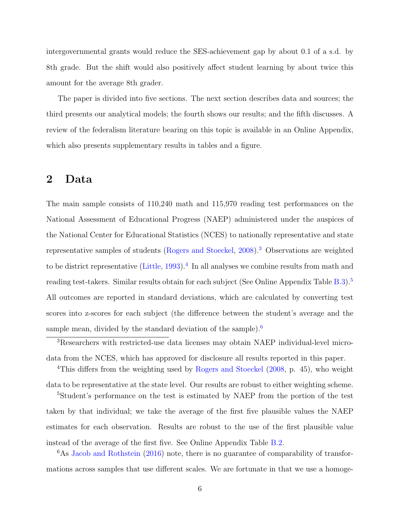intergovernmental grants would reduce the SES-achievement gap by about 0.1 of a s.d. by 8th grade. But the shift would also positively affect student learning by about twice this amount for the average 8th grader.

The paper is divided into five sections. The next section describes data and sources; the third presents our analytical models; the fourth shows our results; and the fifth discusses. A review of the federalism literature bearing on this topic is available in an Online Appendix, which also presents supplementary results in tables and a figure.

### 2 Data

The main sample consists of 110,240 math and 115,970 reading test performances on the National Assessment of Educational Progress (NAEP) administered under the auspices of the National Center for Educational Statistics (NCES) to nationally representative and state representative samples of students [\(Rogers and Stoeckel,](#page-36-12) [2008\)](#page-36-12).[3](#page-8-0) Observations are weighted to be district representative [\(Little,](#page-35-6) [1993\)](#page-35-6).<sup>[4](#page-8-1)</sup> In all analyses we combine results from math and reading test-takers. Similar results obtain for each subject (See Online Appendix Table [B.3\)](#page--1-1).<sup>[5](#page-8-2)</sup> All outcomes are reported in standard deviations, which are calculated by converting test scores into z-scores for each subject (the difference between the student's average and the sample mean, divided by the standard deviation of the sample).<sup>[6](#page-8-3)</sup>

<span id="page-8-2"></span>data to be representative at the state level. Our results are robust to either weighting scheme. <sup>5</sup>Student's performance on the test is estimated by NAEP from the portion of the test

taken by that individual; we take the average of the first five plausible values the NAEP estimates for each observation. Results are robust to the use of the first plausible value instead of the average of the first five. See Online Appendix Table [B.2.](#page--1-2)

<span id="page-8-3"></span><sup>6</sup>As [Jacob and Rothstein](#page-35-7) [\(2016\)](#page-35-7) note, there is no guarantee of comparability of transformations across samples that use different scales. We are fortunate in that we use a homoge-

<span id="page-8-1"></span><span id="page-8-0"></span><sup>3</sup>Researchers with restricted-use data licenses may obtain NAEP individual-level microdata from the NCES, which has approved for disclosure all results reported in this paper. <sup>4</sup>This differs from the weighting used by [Rogers and Stoeckel](#page-36-12) [\(2008,](#page-36-12) p. 45), who weight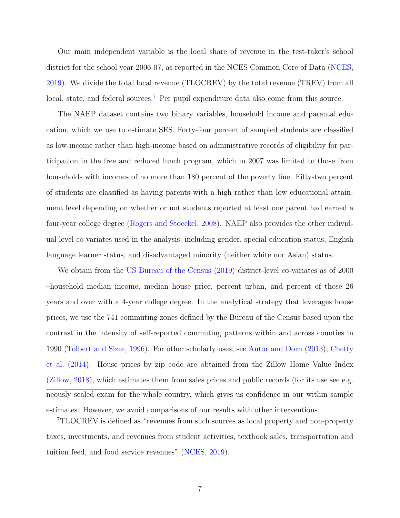Our main independent variable is the local share of revenue in the test-taker's school district for the school year 2006-07, as reported in the NCES Common Core of Data [\(NCES,](#page-36-13) [2019\)](#page-36-13). We divide the total local revenue (TLOCREV) by the total revenue (TREV) from all local, state, and federal sources.<sup>[7](#page-9-0)</sup> Per pupil expenditure data also come from this source.

The NAEP dataset contains two binary variables, household income and parental education, which we use to estimate SES. Forty-four percent of sampled students are classified as low-income rather than high-income based on administrative records of eligibility for participation in the free and reduced lunch program, which in 2007 was limited to those from households with incomes of no more than 180 percent of the poverty line. Fifty-two percent of students are classified as having parents with a high rather than low educational attainment level depending on whether or not students reported at least one parent had earned a four-year college degree [\(Rogers and Stoeckel,](#page-36-12) [2008\)](#page-36-12). NAEP also provides the other individual level co-variates used in the analysis, including gender, special education status, English language learner status, and disadvantaged minority (neither white nor Asian) status.

We obtain from the [US Bureau of the Census](#page-37-1) [\(2019\)](#page-37-1) district-level co-variates as of 2000 –household median income, median house price, percent urban, and percent of those 26 years and over with a 4-year college degree. In the analytical strategy that leverages house prices, we use the 741 commuting zones defined by the Bureau of the Census based upon the contrast in the intensity of self-reported commuting patterns within and across counties in 1990 [\(Tolbert and Sizer,](#page-37-4) [1996\)](#page-37-4). For other scholarly uses, see [Autor and Dorn](#page-33-8) [\(2013\)](#page-33-8); [Chetty](#page-33-9) [et al.](#page-33-9) [\(2014\)](#page-33-9). House prices by zip code are obtained from the Zillow Home Value Index [\(Zillow,](#page-37-6) [2018\)](#page-37-6), which estimates them from sales prices and public records (for its use see e.g. neously scaled exam for the whole country, which gives us confidence in our within sample estimates. However, we avoid comparisons of our results with other interventions.

<span id="page-9-0"></span><sup>7</sup>TLOCREV is defined as "revenues from such sources as local property and non-property taxes, investments, and revenues from student activities, textbook sales, transportation and tuition feed, and food service revenues" [\(NCES,](#page-36-13) [2019\)](#page-36-13).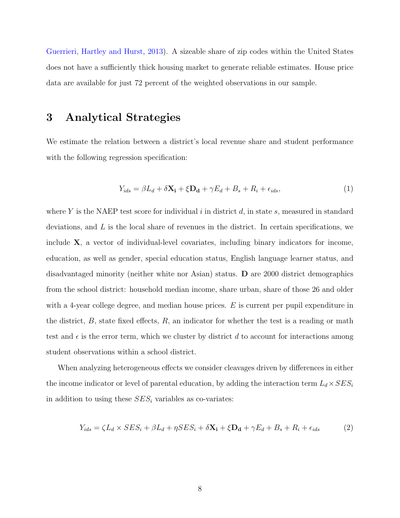[Guerrieri, Hartley and Hurst,](#page-34-10) [2013\)](#page-34-10). A sizeable share of zip codes within the United States does not have a sufficiently thick housing market to generate reliable estimates. House price data are available for just 72 percent of the weighted observations in our sample.

## 3 Analytical Strategies

We estimate the relation between a district's local revenue share and student performance with the following regression specification:

$$
Y_{ids} = \beta L_d + \delta \mathbf{X_i} + \xi \mathbf{D_d} + \gamma E_d + B_s + R_i + \epsilon_{ids},\tag{1}
$$

where Y is the NAEP test score for individual i in district  $d$ , in state s, measured in standard deviations, and  $L$  is the local share of revenues in the district. In certain specifications, we include  $X$ , a vector of individual-level covariates, including binary indicators for income, education, as well as gender, special education status, English language learner status, and disadvantaged minority (neither white nor Asian) status.  $\bf{D}$  are 2000 district demographics from the school district: household median income, share urban, share of those 26 and older with a 4-year college degree, and median house prices.  $E$  is current per pupil expenditure in the district,  $B$ , state fixed effects,  $R$ , an indicator for whether the test is a reading or math test and  $\epsilon$  is the error term, which we cluster by district d to account for interactions among student observations within a school district.

When analyzing heterogeneous effects we consider cleavages driven by differences in either the income indicator or level of parental education, by adding the interaction term  $L_d \times SES_i$ in addition to using these  $SES<sub>i</sub>$  variables as co-variates:

$$
Y_{ids} = \zeta L_d \times SES_i + \beta L_d + \eta SES_i + \delta \mathbf{X_i} + \xi \mathbf{D_d} + \gamma E_d + B_s + R_i + \epsilon_{ids}
$$
 (2)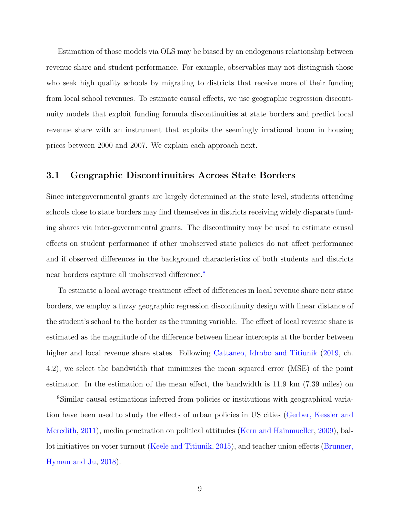Estimation of those models via OLS may be biased by an endogenous relationship between revenue share and student performance. For example, observables may not distinguish those who seek high quality schools by migrating to districts that receive more of their funding from local school revenues. To estimate causal effects, we use geographic regression discontinuity models that exploit funding formula discontinuities at state borders and predict local revenue share with an instrument that exploits the seemingly irrational boom in housing prices between 2000 and 2007. We explain each approach next.

#### 3.1 Geographic Discontinuities Across State Borders

Since intergovernmental grants are largely determined at the state level, students attending schools close to state borders may find themselves in districts receiving widely disparate funding shares via inter-governmental grants. The discontinuity may be used to estimate causal effects on student performance if other unobserved state policies do not affect performance and if observed differences in the background characteristics of both students and districts near borders capture all unobserved difference.<sup>[8](#page-11-0)</sup>

To estimate a local average treatment effect of differences in local revenue share near state borders, we employ a fuzzy geographic regression discontinuity design with linear distance of the student's school to the border as the running variable. The effect of local revenue share is estimated as the magnitude of the difference between linear intercepts at the border between higher and local revenue share states. Following [Cattaneo, Idrobo and Titiunik](#page-33-10) [\(2019,](#page-33-10) ch. 4.2), we select the bandwidth that minimizes the mean squared error (MSE) of the point estimator. In the estimation of the mean effect, the bandwidth is 11.9 km (7.39 miles) on

<span id="page-11-0"></span><sup>8</sup>Similar causal estimations inferred from policies or institutions with geographical variation have been used to study the effects of urban policies in US cities [\(Gerber, Kessler and](#page-34-11) [Meredith,](#page-34-11) [2011\)](#page-34-11), media penetration on political attitudes [\(Kern and Hainmueller,](#page-35-8) [2009\)](#page-35-8), ballot initiatives on voter turnout [\(Keele and Titiunik,](#page-35-9) [2015\)](#page-35-9), and teacher union effects [\(Brunner,](#page-33-4) [Hyman and Ju,](#page-33-4) [2018\)](#page-33-4).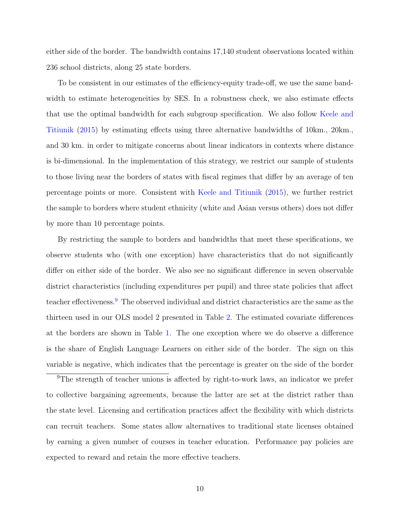either side of the border. The bandwidth contains 17,140 student observations located within 236 school districts, along 25 state borders.

To be consistent in our estimates of the efficiency-equity trade-off, we use the same bandwidth to estimate heterogeneities by SES. In a robustness check, we also estimate effects that use the optimal bandwidth for each subgroup specification. We also follow [Keele and](#page-35-9) [Titiunik](#page-35-9) [\(2015\)](#page-35-9) by estimating effects using three alternative bandwidths of 10km., 20km., and 30 km. in order to mitigate concerns about linear indicators in contexts where distance is bi-dimensional. In the implementation of this strategy, we restrict our sample of students to those living near the borders of states with fiscal regimes that differ by an average of ten percentage points or more. Consistent with [Keele and Titiunik](#page-35-9) [\(2015\)](#page-35-9), we further restrict the sample to borders where student ethnicity (white and Asian versus others) does not differ by more than 10 percentage points.

By restricting the sample to borders and bandwidths that meet these specifications, we observe students who (with one exception) have characteristics that do not significantly differ on either side of the border. We also see no significant difference in seven observable district characteristics (including expenditures per pupil) and three state policies that affect teacher effectiveness.<sup>[9](#page-12-0)</sup> The observed individual and district characteristics are the same as the thirteen used in our OLS model 2 presented in Table [2.](#page-18-0) The estimated covariate differences at the borders are shown in Table [1.](#page-14-0) The one exception where we do observe a difference is the share of English Language Learners on either side of the border. The sign on this variable is negative, which indicates that the percentage is greater on the side of the border

<span id="page-12-0"></span><sup>9</sup>The strength of teacher unions is affected by right-to-work laws, an indicator we prefer to collective bargaining agreements, because the latter are set at the district rather than the state level. Licensing and certification practices affect the flexibility with which districts can recruit teachers. Some states allow alternatives to traditional state licenses obtained by earning a given number of courses in teacher education. Performance pay policies are expected to reward and retain the more effective teachers.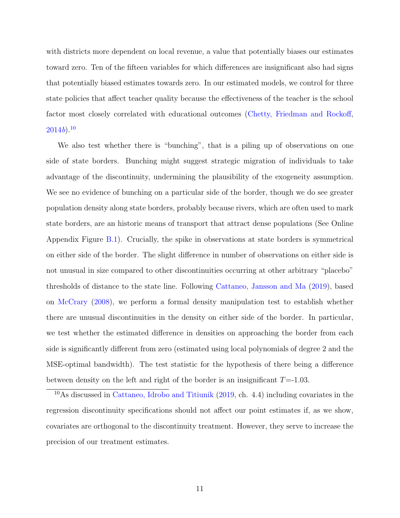with districts more dependent on local revenue, a value that potentially biases our estimates toward zero. Ten of the fifteen variables for which differences are insignificant also had signs that potentially biased estimates towards zero. In our estimated models, we control for three state policies that affect teacher quality because the effectiveness of the teacher is the school factor most closely correlated with educational outcomes [\(Chetty, Friedman and Rockoff,](#page-33-3)  $2014b$  $2014b$ ).<sup>[10](#page-13-0)</sup>

We also test whether there is "bunching", that is a piling up of observations on one side of state borders. Bunching might suggest strategic migration of individuals to take advantage of the discontinuity, undermining the plausibility of the exogeneity assumption. We see no evidence of bunching on a particular side of the border, though we do see greater population density along state borders, probably because rivers, which are often used to mark state borders, are an historic means of transport that attract dense populations (See Online Appendix Figure [B.1\)](#page--1-1). Crucially, the spike in observations at state borders is symmetrical on either side of the border. The slight difference in number of observations on either side is not unusual in size compared to other discontinuities occurring at other arbitrary "placebo" thresholds of distance to the state line. Following [Cattaneo, Jansson and Ma](#page-33-11) [\(2019\)](#page-33-11), based on [McCrary](#page-35-10) [\(2008\)](#page-35-10), we perform a formal density manipulation test to establish whether there are unusual discontinuities in the density on either side of the border. In particular, we test whether the estimated difference in densities on approaching the border from each side is significantly different from zero (estimated using local polynomials of degree 2 and the MSE-optimal bandwidth). The test statistic for the hypothesis of there being a difference between density on the left and right of the border is an insignificant  $T = -1.03$ .

<span id="page-13-0"></span><sup>10</sup>As discussed in [Cattaneo, Idrobo and Titiunik](#page-33-10) [\(2019,](#page-33-10) ch. 4.4) including covariates in the regression discontinuity specifications should not affect our point estimates if, as we show, covariates are orthogonal to the discontinuity treatment. However, they serve to increase the precision of our treatment estimates.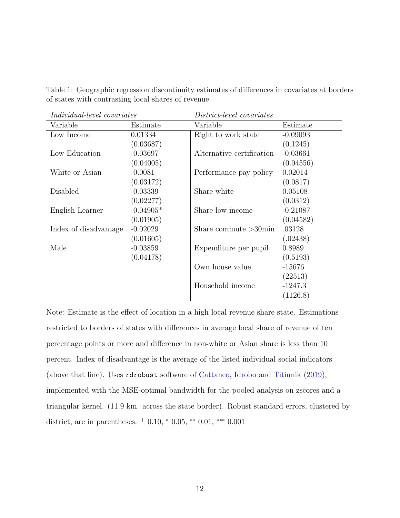<span id="page-14-0"></span>

| Table 1: Geographic regression discontinuity estimates of differences in covariates at borders |  |  |  |  |
|------------------------------------------------------------------------------------------------|--|--|--|--|
| of states with contrasting local shares of revenue                                             |  |  |  |  |

| <i>Individual-level covariates</i> |             | District-level covariates |            |  |  |
|------------------------------------|-------------|---------------------------|------------|--|--|
| Variable                           | Estimate    | Variable                  | Estimate   |  |  |
| Low Income                         | 0.01334     | Right to work state       | $-0.09093$ |  |  |
|                                    | (0.03687)   |                           | (0.1245)   |  |  |
| Low Education                      | $-0.03697$  | Alternative certification | $-0.03661$ |  |  |
|                                    | (0.04005)   |                           | (0.04556)  |  |  |
| White or Asian                     | $-0.0081$   | Performance pay policy    | 0.02014    |  |  |
|                                    | (0.03172)   |                           | (0.0817)   |  |  |
| Disabled                           | $-0.03339$  | Share white               | 0.05108    |  |  |
|                                    | (0.02277)   |                           | (0.0312)   |  |  |
| English Learner                    | $-0.04905*$ | Share low income          | $-0.21087$ |  |  |
|                                    | (0.01905)   |                           | (0.04582)  |  |  |
| Index of disadvantage              | $-0.02029$  | Share commute $>30$ min   | .03128     |  |  |
|                                    | (0.01605)   |                           | (.02438)   |  |  |
| Male                               | $-0.03859$  | Expenditure per pupil     | 0.8989     |  |  |
|                                    | (0.04178)   |                           | (0.5193)   |  |  |
|                                    |             | Own house value           | $-15676$   |  |  |
|                                    |             |                           | (22513)    |  |  |
|                                    |             | Household income          | $-1247.3$  |  |  |
|                                    |             |                           | (1126.8)   |  |  |

Note: Estimate is the effect of location in a high local revenue share state. Estimations restricted to borders of states with differences in average local share of revenue of ten percentage points or more and difference in non-white or Asian share is less than 10 percent. Index of disadvantage is the average of the listed individual social indicators (above that line). Uses rdrobust software of [Cattaneo, Idrobo and Titiunik](#page-33-10) [\(2019\)](#page-33-10), implemented with the MSE-optimal bandwidth for the pooled analysis on zscores and a triangular kernel. (11.9 km. across the state border). Robust standard errors, clustered by district, are in parentheses.  $+$  0.10,  $*$  0.05,  $**$  0.01,  $***$  0.001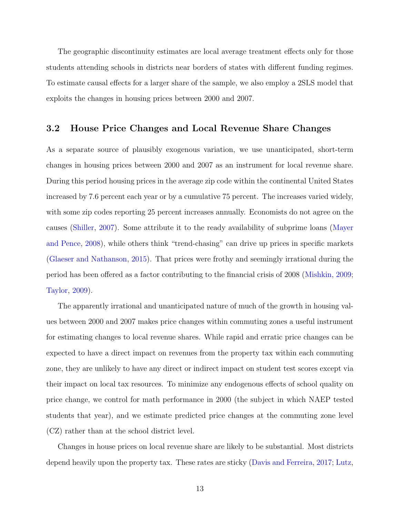The geographic discontinuity estimates are local average treatment effects only for those students attending schools in districts near borders of states with different funding regimes. To estimate causal effects for a larger share of the sample, we also employ a 2SLS model that exploits the changes in housing prices between 2000 and 2007.

#### 3.2 House Price Changes and Local Revenue Share Changes

As a separate source of plausibly exogenous variation, we use unanticipated, short-term changes in housing prices between 2000 and 2007 as an instrument for local revenue share. During this period housing prices in the average zip code within the continental United States increased by 7.6 percent each year or by a cumulative 75 percent. The increases varied widely, with some zip codes reporting 25 percent increases annually. Economists do not agree on the causes [\(Shiller,](#page-36-14) [2007\)](#page-36-14). Some attribute it to the ready availability of subprime loans [\(Mayer](#page-35-11) [and Pence,](#page-35-11) [2008\)](#page-35-11), while others think "trend-chasing" can drive up prices in specific markets [\(Glaeser and Nathanson,](#page-34-7) [2015\)](#page-34-7). That prices were frothy and seemingly irrational during the period has been offered as a factor contributing to the financial crisis of 2008 [\(Mishkin,](#page-35-12) [2009;](#page-35-12) [Taylor,](#page-37-7) [2009\)](#page-37-7).

The apparently irrational and unanticipated nature of much of the growth in housing values between 2000 and 2007 makes price changes within commuting zones a useful instrument for estimating changes to local revenue shares. While rapid and erratic price changes can be expected to have a direct impact on revenues from the property tax within each commuting zone, they are unlikely to have any direct or indirect impact on student test scores except via their impact on local tax resources. To minimize any endogenous effects of school quality on price change, we control for math performance in 2000 (the subject in which NAEP tested students that year), and we estimate predicted price changes at the commuting zone level (CZ) rather than at the school district level.

Changes in house prices on local revenue share are likely to be substantial. Most districts depend heavily upon the property tax. These rates are sticky [\(Davis and Ferreira,](#page-33-12) [2017;](#page-33-12) [Lutz,](#page-35-13)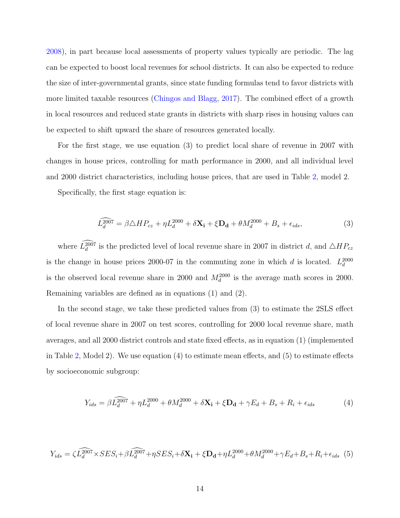[2008\)](#page-35-13), in part because local assessments of property values typically are periodic. The lag can be expected to boost local revenues for school districts. It can also be expected to reduce the size of inter-governmental grants, since state funding formulas tend to favor districts with more limited taxable resources [\(Chingos and Blagg,](#page-33-13) [2017\)](#page-33-13). The combined effect of a growth in local resources and reduced state grants in districts with sharp rises in housing values can be expected to shift upward the share of resources generated locally.

For the first stage, we use equation (3) to predict local share of revenue in 2007 with changes in house prices, controlling for math performance in 2000, and all individual level and 2000 district characteristics, including house prices, that are used in Table [2,](#page-18-0) model 2.

Specifically, the first stage equation is:

$$
\widehat{L_d^{2007}} = \beta \triangle HP_{cz} + \eta L_d^{2000} + \delta \mathbf{X_i} + \xi \mathbf{D_d} + \theta M_d^{2000} + B_s + \epsilon_{ids},\tag{3}
$$

where  $L_d^{2007}$  is the predicted level of local revenue share in 2007 in district d, and  $\triangle HP_{cz}$ is the change in house prices 2000-07 in the commuting zone in which d is located.  $L_d^{2000}$ is the observed local revenue share in 2000 and  $M_d^{2000}$  is the average math scores in 2000. Remaining variables are defined as in equations (1) and (2).

In the second stage, we take these predicted values from (3) to estimate the 2SLS effect of local revenue share in 2007 on test scores, controlling for 2000 local revenue share, math averages, and all 2000 district controls and state fixed effects, as in equation (1) (implemented in Table [2,](#page-18-0) Model 2). We use equation (4) to estimate mean effects, and (5) to estimate effects by socioeconomic subgroup:

$$
Y_{ids} = \beta \widehat{L_d^{2007}} + \eta L_d^{2000} + \theta M_d^{2000} + \delta \mathbf{X_i} + \xi \mathbf{D_d} + \gamma E_d + B_s + R_i + \epsilon_{ids}
$$
(4)

$$
Y_{ids} = \zeta \widehat{L_d^{2007}} \times SES_i + \beta \widehat{L_d^{2007}} + \eta SES_i + \delta \mathbf{X_i} + \xi \mathbf{D_d} + \eta L_d^{2000} + \theta M_d^{2000} + \gamma E_d + B_s + R_i + \epsilon_{ids} \tag{5}
$$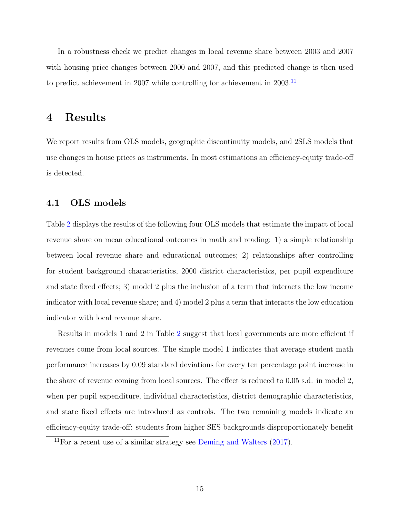In a robustness check we predict changes in local revenue share between 2003 and 2007 with housing price changes between 2000 and 2007, and this predicted change is then used to predict achievement in 2007 while controlling for achievement in 2003.[11](#page-17-0)

## 4 Results

We report results from OLS models, geographic discontinuity models, and 2SLS models that use changes in house prices as instruments. In most estimations an efficiency-equity trade-off is detected.

#### 4.1 OLS models

Table [2](#page-18-0) displays the results of the following four OLS models that estimate the impact of local revenue share on mean educational outcomes in math and reading: 1) a simple relationship between local revenue share and educational outcomes; 2) relationships after controlling for student background characteristics, 2000 district characteristics, per pupil expenditure and state fixed effects; 3) model 2 plus the inclusion of a term that interacts the low income indicator with local revenue share; and 4) model 2 plus a term that interacts the low education indicator with local revenue share.

Results in models 1 and 2 in Table [2](#page-18-0) suggest that local governments are more efficient if revenues come from local sources. The simple model 1 indicates that average student math performance increases by 0.09 standard deviations for every ten percentage point increase in the share of revenue coming from local sources. The effect is reduced to 0.05 s.d. in model 2, when per pupil expenditure, individual characteristics, district demographic characteristics, and state fixed effects are introduced as controls. The two remaining models indicate an efficiency-equity trade-off: students from higher SES backgrounds disproportionately benefit

<span id="page-17-0"></span><sup>&</sup>lt;sup>11</sup>For a recent use of a similar strategy see [Deming and Walters](#page-34-12)  $(2017)$ .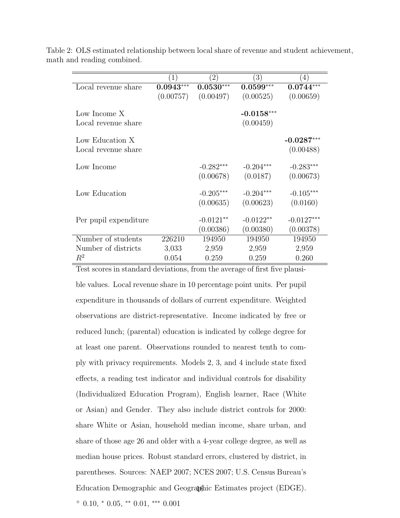|                                                                            | $\left(1\right)$ | $\left( 2\right)$ | $\left(3\right)$ | $\left(4\right)$ |
|----------------------------------------------------------------------------|------------------|-------------------|------------------|------------------|
| Local revenue share                                                        | $0.0943***$      | $0.0530***$       | $0.0599***$      | $0.0744***$      |
|                                                                            |                  |                   |                  |                  |
|                                                                            | (0.00757)        | (0.00497)         | (0.00525)        | (0.00659)        |
|                                                                            |                  |                   |                  |                  |
| Low Income X                                                               |                  |                   | $-0.0158***$     |                  |
| Local revenue share                                                        |                  |                   | (0.00459)        |                  |
| Low Education X                                                            |                  |                   |                  | $-0.0287***$     |
|                                                                            |                  |                   |                  |                  |
| Local revenue share                                                        |                  |                   |                  | (0.00488)        |
| Low Income                                                                 |                  | $-0.282***$       | $-0.204***$      | $-0.283***$      |
|                                                                            |                  | (0.00678)         | (0.0187)         | (0.00673)        |
|                                                                            |                  |                   |                  |                  |
| Low Education                                                              |                  | $-0.205***$       | $-0.204***$      | $-0.105***$      |
|                                                                            |                  | (0.00635)         | (0.00623)        | (0.0160)         |
|                                                                            |                  |                   |                  |                  |
| Per pupil expenditure                                                      |                  | $-0.0121**$       | $-0.0122**$      | $-0.0127***$     |
|                                                                            |                  | (0.00386)         | (0.00380)        | (0.00378)        |
| Number of students                                                         | 226210           | 194950            | 194950           | 194950           |
| Number of districts                                                        | 3,033            | 2,959             | 2,959            | 2,959            |
| $\,R^2$                                                                    | 0.054            | 0.259             | 0.259            | 0.260            |
| Test scores in standard deviations, from the average of first five plausi- |                  |                   |                  |                  |

<span id="page-18-0"></span>Table 2: OLS estimated relationship between local share of revenue and student achievement, math and reading combined.

ble values. Local revenue share in 10 percentage point units. Per pupil expenditure in thousands of dollars of current expenditure. Weighted observations are district-representative. Income indicated by free or reduced lunch; (parental) education is indicated by college degree for at least one parent. Observations rounded to nearest tenth to comply with privacy requirements. Models 2, 3, and 4 include state fixed effects, a reading test indicator and individual controls for disability (Individualized Education Program), English learner, Race (White or Asian) and Gender. They also include district controls for 2000: share White or Asian, household median income, share urban, and share of those age 26 and older with a 4-year college degree, as well as median house prices. Robust standard errors, clustered by district, in parentheses. Sources: NAEP 2007; NCES 2007; U.S. Census Bureau's Education Demographic and Geographic Estimates project (EDGE). 16<sup>+</sup> 0.10, <sup>∗</sup> 0.05, ∗∗ 0.01, ∗∗∗ 0.001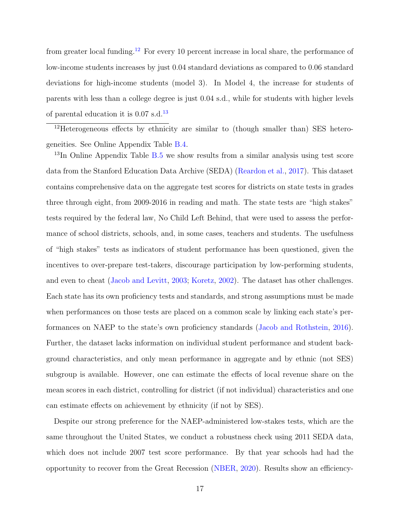from greater local funding.<sup>[12](#page-19-0)</sup> For every 10 percent increase in local share, the performance of low-income students increases by just 0.04 standard deviations as compared to 0.06 standard deviations for high-income students (model 3). In Model 4, the increase for students of parents with less than a college degree is just 0.04 s.d., while for students with higher levels of parental education it is  $0.07$  s.d.<sup>[13](#page-19-1)</sup>

<span id="page-19-0"></span><sup>12</sup>Heterogeneous effects by ethnicity are similar to (though smaller than) SES heterogeneities. See Online Appendix Table [B.4.](#page--1-0)

<span id="page-19-1"></span> $13$ In Online Appendix Table [B.5](#page--1-1) we show results from a similar analysis using test score data from the Stanford Education Data Archive (SEDA) [\(Reardon et al.,](#page-36-15) [2017\)](#page-36-15). This dataset contains comprehensive data on the aggregate test scores for districts on state tests in grades three through eight, from 2009-2016 in reading and math. The state tests are "high stakes" tests required by the federal law, No Child Left Behind, that were used to assess the performance of school districts, schools, and, in some cases, teachers and students. The usefulness of "high stakes" tests as indicators of student performance has been questioned, given the incentives to over-prepare test-takers, discourage participation by low-performing students, and even to cheat [\(Jacob and Levitt,](#page-34-13) [2003;](#page-34-13) [Koretz,](#page-35-14) [2002\)](#page-35-14). The dataset has other challenges. Each state has its own proficiency tests and standards, and strong assumptions must be made when performances on those tests are placed on a common scale by linking each state's performances on NAEP to the state's own proficiency standards [\(Jacob and Rothstein,](#page-35-7) [2016\)](#page-35-7). Further, the dataset lacks information on individual student performance and student background characteristics, and only mean performance in aggregate and by ethnic (not SES) subgroup is available. However, one can estimate the effects of local revenue share on the mean scores in each district, controlling for district (if not individual) characteristics and one can estimate effects on achievement by ethnicity (if not by SES).

Despite our strong preference for the NAEP-administered low-stakes tests, which are the same throughout the United States, we conduct a robustness check using 2011 SEDA data, which does not include 2007 test score performance. By that year schools had had the opportunity to recover from the Great Recession [\(NBER,](#page-35-15) [2020\)](#page-35-15). Results show an efficiency-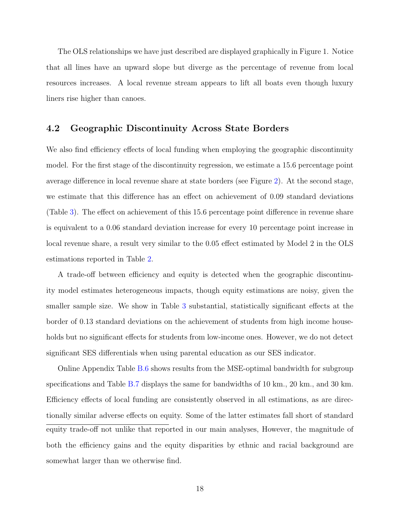The OLS relationships we have just described are displayed graphically in Figure 1. Notice that all lines have an upward slope but diverge as the percentage of revenue from local resources increases. A local revenue stream appears to lift all boats even though luxury liners rise higher than canoes.

#### 4.2 Geographic Discontinuity Across State Borders

We also find efficiency effects of local funding when employing the geographic discontinuity model. For the first stage of the discontinuity regression, we estimate a 15.6 percentage point average difference in local revenue share at state borders (see Figure [2\)](#page-22-0). At the second stage, we estimate that this difference has an effect on achievement of 0.09 standard deviations (Table [3\)](#page-24-0). The effect on achievement of this 15.6 percentage point difference in revenue share is equivalent to a 0.06 standard deviation increase for every 10 percentage point increase in local revenue share, a result very similar to the 0.05 effect estimated by Model 2 in the OLS estimations reported in Table [2.](#page-18-0)

A trade-off between efficiency and equity is detected when the geographic discontinuity model estimates heterogeneous impacts, though equity estimations are noisy, given the smaller sample size. We show in Table [3](#page-24-0) substantial, statistically significant effects at the border of 0.13 standard deviations on the achievement of students from high income households but no significant effects for students from low-income ones. However, we do not detect significant SES differentials when using parental education as our SES indicator.

Online Appendix Table [B.6](#page--1-3) shows results from the MSE-optimal bandwidth for subgroup specifications and Table [B.7](#page--1-4) displays the same for bandwidths of 10 km., 20 km., and 30 km. Efficiency effects of local funding are consistently observed in all estimations, as are directionally similar adverse effects on equity. Some of the latter estimates fall short of standard equity trade-off not unlike that reported in our main analyses, However, the magnitude of both the efficiency gains and the equity disparities by ethnic and racial background are somewhat larger than we otherwise find.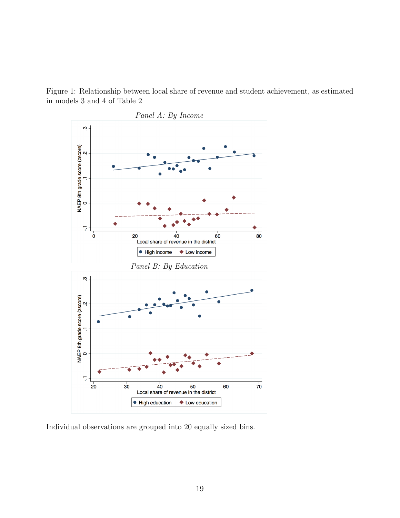Figure 1: Relationship between local share of revenue and student achievement, as estimated in models 3 and 4 of Table 2



Individual observations are grouped into 20 equally sized bins.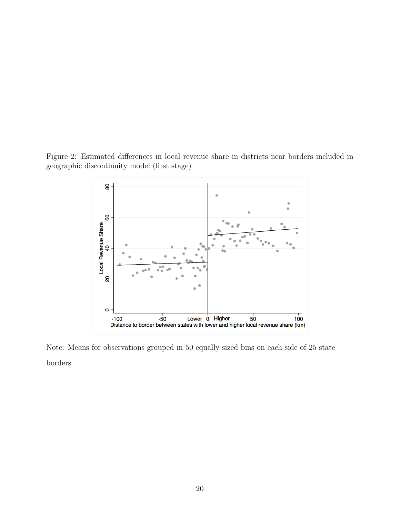<span id="page-22-0"></span>Figure 2: Estimated differences in local revenue share in districts near borders included in geographic discontinuity model (first stage)



Note: Means for observations grouped in 50 equally sized bins on each side of 25 state borders.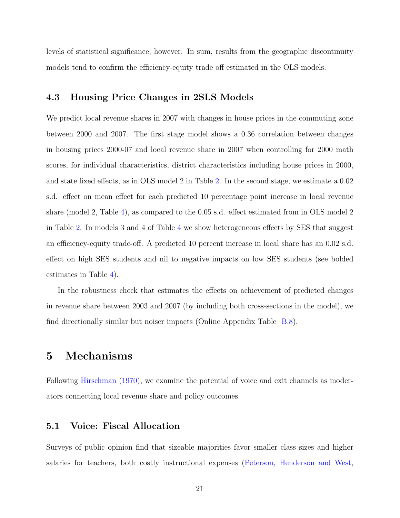levels of statistical significance, however. In sum, results from the geographic discontinuity models tend to confirm the efficiency-equity trade off estimated in the OLS models.

#### 4.3 Housing Price Changes in 2SLS Models

We predict local revenue shares in 2007 with changes in house prices in the commuting zone between 2000 and 2007. The first stage model shows a 0.36 correlation between changes in housing prices 2000-07 and local revenue share in 2007 when controlling for 2000 math scores, for individual characteristics, district characteristics including house prices in 2000, and state fixed effects, as in OLS model 2 in Table [2.](#page-18-0) In the second stage, we estimate a 0.02 s.d. effect on mean effect for each predicted 10 percentage point increase in local revenue share (model 2, Table [4\)](#page-25-0), as compared to the 0.05 s.d. effect estimated from in OLS model 2 in Table [2.](#page-18-0) In models 3 and 4 of Table [4](#page-25-0) we show heterogeneous effects by SES that suggest an efficiency-equity trade-off. A predicted 10 percent increase in local share has an 0.02 s.d. effect on high SES students and nil to negative impacts on low SES students (see bolded estimates in Table [4\)](#page-25-0).

In the robustness check that estimates the effects on achievement of predicted changes in revenue share between 2003 and 2007 (by including both cross-sections in the model), we find directionally similar but noiser impacts (Online Appendix Table [B.8\)](#page--1-5).

## 5 Mechanisms

Following [Hirschman](#page-34-8) [\(1970\)](#page-34-8), we examine the potential of voice and exit channels as moderators connecting local revenue share and policy outcomes.

#### 5.1 Voice: Fiscal Allocation

Surveys of public opinion find that sizeable majorities favor smaller class sizes and higher salaries for teachers, both costly instructional expenses [\(Peterson, Henderson and West,](#page-36-11)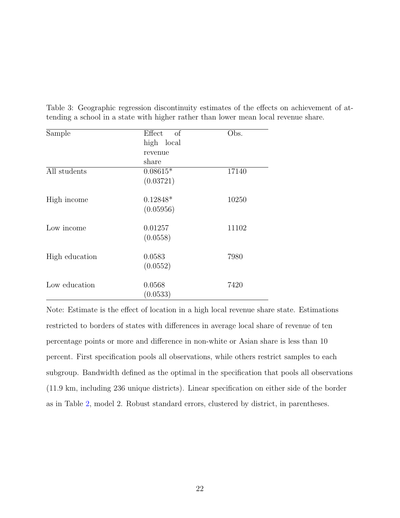| Sample         | Effect<br>of | Obs.  |
|----------------|--------------|-------|
|                | high local   |       |
|                | revenue      |       |
|                | share        |       |
| All students   | $0.08615*$   | 17140 |
|                | (0.03721)    |       |
| High income    | $0.12848*$   | 10250 |
|                | (0.05956)    |       |
| Low income     | 0.01257      | 11102 |
|                | (0.0558)     |       |
| High education | 0.0583       | 7980  |
|                | (0.0552)     |       |
| Low education  | 0.0568       | 7420  |
|                | (0.0533)     |       |

<span id="page-24-0"></span>Table 3: Geographic regression discontinuity estimates of the effects on achievement of attending a school in a state with higher rather than lower mean local revenue share.

Note: Estimate is the effect of location in a high local revenue share state. Estimations restricted to borders of states with differences in average local share of revenue of ten percentage points or more and difference in non-white or Asian share is less than 10 percent. First specification pools all observations, while others restrict samples to each subgroup. Bandwidth defined as the optimal in the specification that pools all observations (11.9 km, including 236 unique districts). Linear specification on either side of the border as in Table [2,](#page-18-0) model 2. Robust standard errors, clustered by district, in parentheses.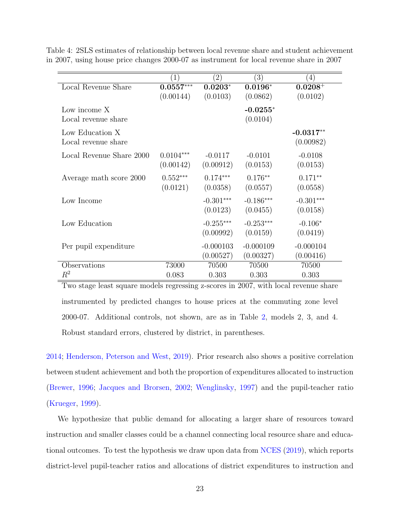|                          | $1^{\circ}$ | $^{'}2)$    | $\left(3\right)$ | (4)          |
|--------------------------|-------------|-------------|------------------|--------------|
| Local Revenue Share      | $0.0557***$ | $0.0203*$   | $0.0196*$        | $0.0208^{+}$ |
|                          | (0.00144)   | (0.0103)    | (0.0862)         | (0.0102)     |
| Low income X             |             |             | $-0.0255*$       |              |
| Local revenue share      |             |             | (0.0104)         |              |
| Low Education X          |             |             |                  | $-0.0317**$  |
| Local revenue share      |             |             |                  | (0.00982)    |
| Local Revenue Share 2000 | $0.0104***$ | $-0.0117$   | $-0.0101$        | $-0.0108$    |
|                          | (0.00142)   | (0.00912)   | (0.0153)         | (0.0153)     |
| Average math score 2000  | $0.552***$  | $0.174***$  | $0.176**$        | $0.171**$    |
|                          | (0.0121)    | (0.0358)    | (0.0557)         | (0.0558)     |
| Low Income               |             | $-0.301***$ | $-0.186***$      | $-0.301***$  |
|                          |             | (0.0123)    | (0.0455)         | (0.0158)     |
| Low Education            |             | $-0.255***$ | $-0.253***$      | $-0.106*$    |
|                          |             | (0.00992)   | (0.0159)         | (0.0419)     |
| Per pupil expenditure    |             | $-0.000103$ | $-0.000109$      | $-0.000104$  |
|                          |             | (0.00527)   | (0.00327)        | (0.00416)    |
| Observations             | 73000       | 70500       | 70500            | 70500        |
| $R^2$                    | 0.083       | 0.303       | 0.303            | 0.303        |

<span id="page-25-0"></span>Table 4: 2SLS estimates of relationship between local revenue share and student achievement in 2007, using house price changes 2000-07 as instrument for local revenue share in 2007

Two stage least square models regressing z-scores in 2007, with local revenue share instrumented by predicted changes to house prices at the commuting zone level 2000-07. Additional controls, not shown, are as in Table [2,](#page-18-0) models 2, 3, and 4. Robust standard errors, clustered by district, in parentheses.

[2014;](#page-36-11) [Henderson, Peterson and West,](#page-34-14) [2019\)](#page-34-14). Prior research also shows a positive correlation between student achievement and both the proportion of expenditures allocated to instruction [\(Brewer,](#page-33-7) [1996;](#page-33-7) [Jacques and Brorsen,](#page-35-4) [2002;](#page-35-4) [Wenglinsky,](#page-37-5) [1997\)](#page-37-5) and the pupil-teacher ratio [\(Krueger,](#page-35-5) [1999\)](#page-35-5).

We hypothesize that public demand for allocating a larger share of resources toward instruction and smaller classes could be a channel connecting local resource share and educational outcomes. To test the hypothesis we draw upon data from [NCES](#page-36-13) [\(2019\)](#page-36-13), which reports district-level pupil-teacher ratios and allocations of district expenditures to instruction and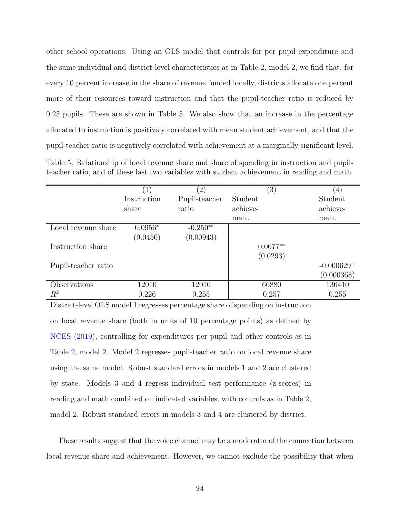other school operations. Using an OLS model that controls for per pupil expenditure and the same individual and district-level characteristics as in Table [2,](#page-18-0) model 2, we find that, for every 10 percent increase in the share of revenue funded locally, districts allocate one percent more of their resources toward instruction and that the pupil-teacher ratio is reduced by 0.25 pupils. These are shown in Table [5.](#page-26-0) We also show that an increase in the percentage allocated to instruction is positively correlated with mean student achievement, and that the pupil-teacher ratio is negatively correlated with achievement at a marginally significant level.

<span id="page-26-0"></span>Table 5: Relationship of local revenue share and share of spending in instruction and pupilteacher ratio, and of these last two variables with student achievement in reading and math.

|                     | $\left  \right $ | $\left( 2\right)$ | (3)        | $\left(4\right)$ |
|---------------------|------------------|-------------------|------------|------------------|
|                     | Instruction      | Pupil-teacher     | Student    | Student          |
|                     | share            | ratio             | achieve-   | achieve-         |
|                     |                  |                   | ment       | ment             |
| Local revenue share | $0.0956*$        | $-0.250**$        |            |                  |
|                     | (0.0450)         | (0.00943)         |            |                  |
| Instruction share   |                  |                   | $0.0677**$ |                  |
|                     |                  |                   | (0.0293)   |                  |
| Pupil-teacher ratio |                  |                   |            | $-0.000629+$     |
|                     |                  |                   |            | (0.000368)       |
| Observations        | 12010            | 12010             | 66880      | 136410           |
| $\,R^2$             | 0.226            | 0.255             | 0.257      | 0.255            |

District-level OLS model 1 regresses percentage share of spending on instruction on local revenue share (both in units of 10 percentage points) as defined by [NCES](#page-36-13) [\(2019\)](#page-36-13), controlling for expenditures per pupil and other controls as in Table [2,](#page-18-0) model 2. Model 2 regresses pupil-teacher ratio on local revenue share using the same model. Robust standard errors in models 1 and 2 are clustered by state. Models 3 and 4 regress individual test performance (z-scores) in reading and math combined on indicated variables, with controls as in Table [2,](#page-18-0) model 2. Robust standard errors in models 3 and 4 are clustered by district.

These results suggest that the voice channel may be a moderator of the connection between local revenue share and achievement. However, we cannot exclude the possibility that when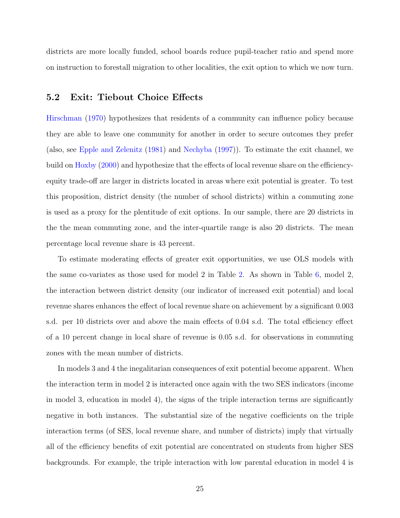districts are more locally funded, school boards reduce pupil-teacher ratio and spend more on instruction to forestall migration to other localities, the exit option to which we now turn.

#### 5.2 Exit: Tiebout Choice Effects

[Hirschman](#page-34-8) [\(1970\)](#page-34-8) hypothesizes that residents of a community can influence policy because they are able to leave one community for another in order to secure outcomes they prefer (also, see [Epple and Zelenitz](#page-34-15) [\(1981\)](#page-34-15) and [Nechyba](#page-36-16) [\(1997\)](#page-36-16)). To estimate the exit channel, we build on [Hoxby](#page-34-9) [\(2000\)](#page-34-9) and hypothesize that the effects of local revenue share on the efficiencyequity trade-off are larger in districts located in areas where exit potential is greater. To test this proposition, district density (the number of school districts) within a commuting zone is used as a proxy for the plentitude of exit options. In our sample, there are 20 districts in the the mean commuting zone, and the inter-quartile range is also 20 districts. The mean percentage local revenue share is 43 percent.

To estimate moderating effects of greater exit opportunities, we use OLS models with the same co-variates as those used for model 2 in Table [2.](#page-18-0) As shown in Table [6,](#page-28-0) model 2, the interaction between district density (our indicator of increased exit potential) and local revenue shares enhances the effect of local revenue share on achievement by a significant 0.003 s.d. per 10 districts over and above the main effects of 0.04 s.d. The total efficiency effect of a 10 percent change in local share of revenue is 0.05 s.d. for observations in commuting zones with the mean number of districts.

In models 3 and 4 the inegalitarian consequences of exit potential become apparent. When the interaction term in model 2 is interacted once again with the two SES indicators (income in model 3, education in model 4), the signs of the triple interaction terms are significantly negative in both instances. The substantial size of the negative coefficients on the triple interaction terms (of SES, local revenue share, and number of districts) imply that virtually all of the efficiency benefits of exit potential are concentrated on students from higher SES backgrounds. For example, the triple interaction with low parental education in model 4 is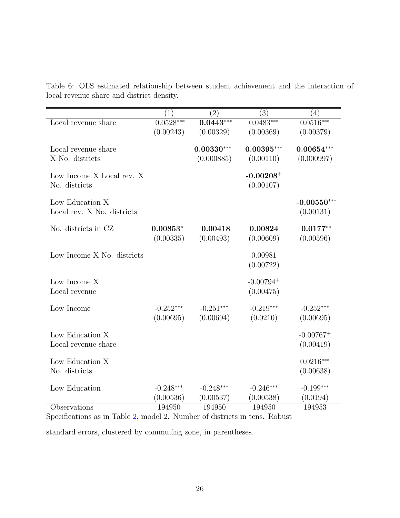|                                               | (1)                      | $\left( 2\right)$        | $\overline{(3)}$                     | (4)                        |
|-----------------------------------------------|--------------------------|--------------------------|--------------------------------------|----------------------------|
| Local revenue share                           | $0.0528***$              | $0.0443***$              | $0.0483***$                          | $0.0516***$                |
|                                               | (0.00243)                | (0.00329)                | (0.00369)                            | (0.00379)                  |
| Local revenue share                           |                          | $0.00330***$             | $0.00395***$                         | $0.00654***$               |
| X No. districts                               |                          | (0.000885)               | (0.00110)                            | (0.000997)                 |
| Low Income X Local rev. X<br>No. districts    |                          |                          | $-0.00208+$<br>(0.00107)             |                            |
| Low Education X<br>Local rev. X No. districts |                          |                          |                                      | $-0.00550***$<br>(0.00131) |
| No. districts in CZ                           | $0.00853*$<br>(0.00335)  | 0.00418<br>(0.00493)     | 0.00824<br>(0.00609)                 | $0.0177**$<br>(0.00596)    |
| Low Income X No. districts                    |                          |                          | 0.00981<br>(0.00722)                 |                            |
| Low Income X<br>Local revenue                 |                          |                          | $-0.00794$ <sup>+</sup><br>(0.00475) |                            |
| Low Income                                    | $-0.252***$<br>(0.00695) | $-0.251***$<br>(0.00694) | $-0.219***$<br>(0.0210)              | $-0.252***$<br>(0.00695)   |
| Low Education X                               |                          |                          |                                      | $-0.00767+$                |
| Local revenue share                           |                          |                          |                                      | (0.00419)                  |
| Low Education X<br>No. districts              |                          |                          |                                      | $0.0216***$<br>(0.00638)   |
|                                               |                          |                          |                                      |                            |
| Low Education                                 | $-0.248***$<br>(0.00536) | $-0.248***$<br>(0.00537) | $-0.246***$<br>(0.00538)             | $-0.199***$<br>(0.0194)    |
| Observations                                  | 194950                   | 194950                   | 194950                               | 194953                     |

<span id="page-28-0"></span>Table 6: OLS estimated relationship between student achievement and the interaction of local revenue share and district density.

Specifications as in Table [2,](#page-18-0) model 2. Number of districts in tens. Robust

standard errors, clustered by commuting zone, in parentheses.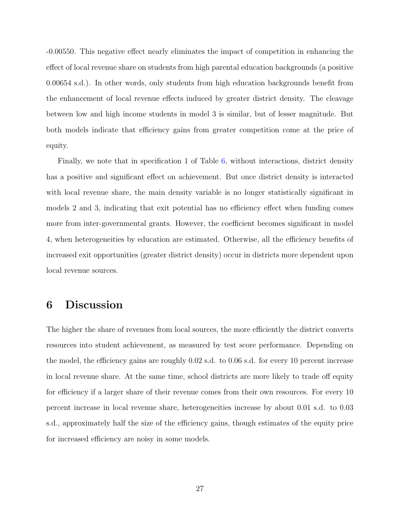-0.00550. This negative effect nearly eliminates the impact of competition in enhancing the effect of local revenue share on students from high parental education backgrounds (a positive 0.00654 s.d.). In other words, only students from high education backgrounds benefit from the enhancement of local revenue effects induced by greater district density. The cleavage between low and high income students in model 3 is similar, but of lesser magnitude. But both models indicate that efficiency gains from greater competition come at the price of equity.

Finally, we note that in specification 1 of Table [6,](#page-28-0) without interactions, district density has a positive and significant effect on achievement. But once district density is interacted with local revenue share, the main density variable is no longer statistically significant in models 2 and 3, indicating that exit potential has no efficiency effect when funding comes more from inter-governmental grants. However, the coefficient becomes significant in model 4, when heterogeneities by education are estimated. Otherwise, all the efficiency benefits of increased exit opportunities (greater district density) occur in districts more dependent upon local revenue sources.

## 6 Discussion

The higher the share of revenues from local sources, the more efficiently the district converts resources into student achievement, as measured by test score performance. Depending on the model, the efficiency gains are roughly 0.02 s.d. to 0.06 s.d. for every 10 percent increase in local revenue share. At the same time, school districts are more likely to trade off equity for efficiency if a larger share of their revenue comes from their own resources. For every 10 percent increase in local revenue share, heterogeneities increase by about 0.01 s.d. to 0.03 s.d., approximately half the size of the efficiency gains, though estimates of the equity price for increased efficiency are noisy in some models.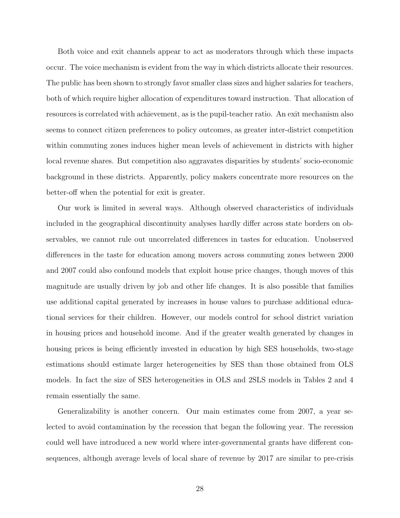Both voice and exit channels appear to act as moderators through which these impacts occur. The voice mechanism is evident from the way in which districts allocate their resources. The public has been shown to strongly favor smaller class sizes and higher salaries for teachers, both of which require higher allocation of expenditures toward instruction. That allocation of resources is correlated with achievement, as is the pupil-teacher ratio. An exit mechanism also seems to connect citizen preferences to policy outcomes, as greater inter-district competition within commuting zones induces higher mean levels of achievement in districts with higher local revenue shares. But competition also aggravates disparities by students' socio-economic background in these districts. Apparently, policy makers concentrate more resources on the better-off when the potential for exit is greater.

Our work is limited in several ways. Although observed characteristics of individuals included in the geographical discontinuity analyses hardly differ across state borders on observables, we cannot rule out uncorrelated differences in tastes for education. Unobserved differences in the taste for education among movers across commuting zones between 2000 and 2007 could also confound models that exploit house price changes, though moves of this magnitude are usually driven by job and other life changes. It is also possible that families use additional capital generated by increases in house values to purchase additional educational services for their children. However, our models control for school district variation in housing prices and household income. And if the greater wealth generated by changes in housing prices is being efficiently invested in education by high SES households, two-stage estimations should estimate larger heterogeneities by SES than those obtained from OLS models. In fact the size of SES heterogeneities in OLS and 2SLS models in Tables 2 and 4 remain essentially the same.

Generalizability is another concern. Our main estimates come from 2007, a year selected to avoid contamination by the recession that began the following year. The recession could well have introduced a new world where inter-governmental grants have different consequences, although average levels of local share of revenue by 2017 are similar to pre-crisis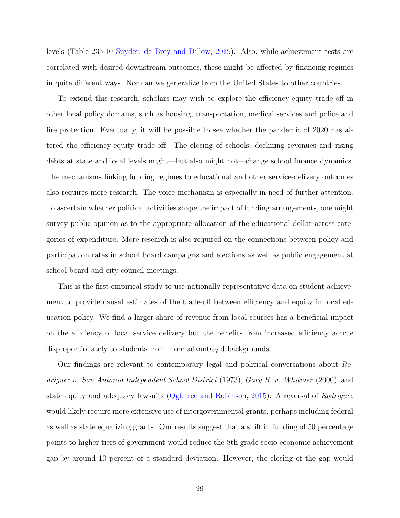levels (Table 235.10 [Snyder, de Brey and Dillow,](#page-36-2) [2019\)](#page-36-2). Also, while achievement tests are correlated with desired downstream outcomes, these might be affected by financing regimes in quite different ways. Nor can we generalize from the United States to other countries.

To extend this research, scholars may wish to explore the efficiency-equity trade-off in other local policy domains, such as housing, transportation, medical services and police and fire protection. Eventually, it will be possible to see whether the pandemic of 2020 has altered the efficiency-equity trade-off. The closing of schools, declining revenues and rising debts at state and local levels might—but also might not—change school finance dynamics. The mechanisms linking funding regimes to educational and other service-delivery outcomes also requires more research. The voice mechanism is especially in need of further attention. To ascertain whether political activities shape the impact of funding arrangements, one might survey public opinion as to the appropriate allocation of the educational dollar across categories of expenditure. More research is also required on the connections between policy and participation rates in school board campaigns and elections as well as public engagement at school board and city council meetings.

This is the first empirical study to use nationally representative data on student achievement to provide causal estimates of the trade-off between efficiency and equity in local education policy. We find a larger share of revenue from local sources has a beneficial impact on the efficiency of local service delivery but the benefits from increased efficiency accrue disproportionately to students from more advantaged backgrounds.

Our findings are relevant to contemporary legal and political conversations about Rodriguez v. San Antonio Independent School District (1973), Gary B. v. Whitmer (2000), and state equity and adequacy lawsuits [\(Ogletree and Robinson,](#page-36-6) [2015\)](#page-36-6). A reversal of Rodriguez would likely require more extensive use of intergovernmental grants, perhaps including federal as well as state equalizing grants. Our results suggest that a shift in funding of 50 percentage points to higher tiers of government would reduce the 8th grade socio-economic achievement gap by around 10 percent of a standard deviation. However, the closing of the gap would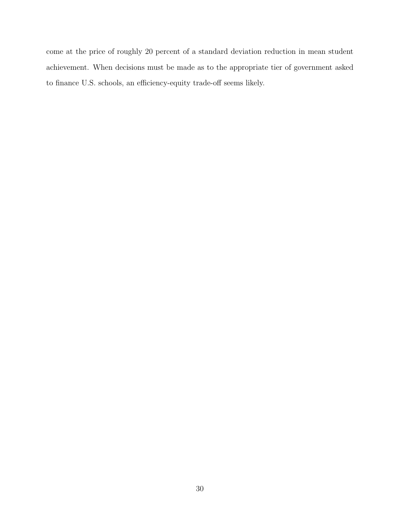come at the price of roughly 20 percent of a standard deviation reduction in mean student achievement. When decisions must be made as to the appropriate tier of government asked to finance U.S. schools, an efficiency-equity trade-off seems likely.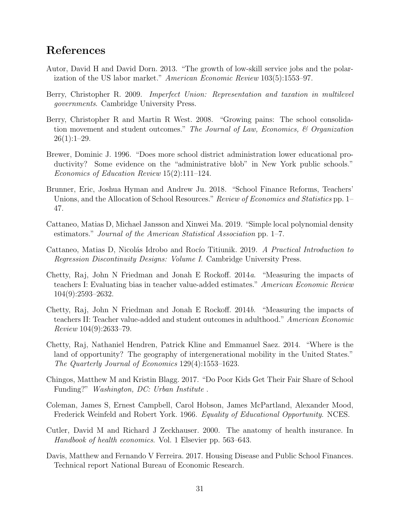## References

- <span id="page-33-8"></span>Autor, David H and David Dorn. 2013. "The growth of low-skill service jobs and the polarization of the US labor market." American Economic Review 103(5):1553–97.
- <span id="page-33-6"></span>Berry, Christopher R. 2009. Imperfect Union: Representation and taxation in multilevel governments. Cambridge University Press.
- <span id="page-33-0"></span>Berry, Christopher R and Martin R West. 2008. "Growing pains: The school consolidation movement and student outcomes." The Journal of Law, Economics, & Organization  $26(1):1-29.$
- <span id="page-33-7"></span>Brewer, Dominic J. 1996. "Does more school district administration lower educational productivity? Some evidence on the "administrative blob" in New York public schools." Economics of Education Review 15(2):111–124.
- <span id="page-33-4"></span>Brunner, Eric, Joshua Hyman and Andrew Ju. 2018. "School Finance Reforms, Teachers' Unions, and the Allocation of School Resources." Review of Economics and Statistics pp. 1– 47.
- <span id="page-33-11"></span>Cattaneo, Matias D, Michael Jansson and Xinwei Ma. 2019. "Simple local polynomial density estimators." Journal of the American Statistical Association pp. 1–7.
- <span id="page-33-10"></span>Cattaneo, Matias D, Nicolás Idrobo and Rocío Titiunik. 2019. A Practical Introduction to Regression Discontinuity Designs: Volume I. Cambridge University Press.
- <span id="page-33-2"></span>Chetty, Raj, John N Friedman and Jonah E Rockoff. 2014a. "Measuring the impacts of teachers I: Evaluating bias in teacher value-added estimates." American Economic Review 104(9):2593–2632.
- <span id="page-33-3"></span>Chetty, Raj, John N Friedman and Jonah E Rockoff. 2014b. "Measuring the impacts of teachers II: Teacher value-added and student outcomes in adulthood." American Economic Review 104(9):2633–79.
- <span id="page-33-9"></span>Chetty, Raj, Nathaniel Hendren, Patrick Kline and Emmanuel Saez. 2014. "Where is the land of opportunity? The geography of intergenerational mobility in the United States." The Quarterly Journal of Economics 129(4):1553–1623.
- <span id="page-33-13"></span>Chingos, Matthew M and Kristin Blagg. 2017. "Do Poor Kids Get Their Fair Share of School Funding?" Washington, DC: Urban Institute .
- <span id="page-33-1"></span>Coleman, James S, Ernest Campbell, Carol Hobson, James McPartland, Alexander Mood, Frederick Weinfeld and Robert York. 1966. Equality of Educational Opportunity. NCES.
- <span id="page-33-5"></span>Cutler, David M and Richard J Zeckhauser. 2000. The anatomy of health insurance. In Handbook of health economics. Vol. 1 Elsevier pp. 563–643.
- <span id="page-33-12"></span>Davis, Matthew and Fernando V Ferreira. 2017. Housing Disease and Public School Finances. Technical report National Bureau of Economic Research.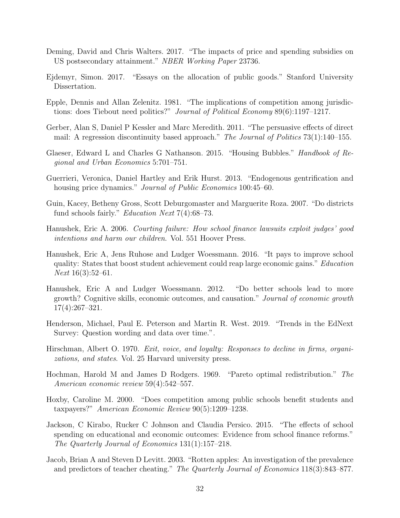- <span id="page-34-12"></span>Deming, David and Chris Walters. 2017. "The impacts of price and spending subsidies on US postsecondary attainment." NBER Working Paper 23736.
- <span id="page-34-5"></span>Ejdemyr, Simon. 2017. "Essays on the allocation of public goods." Stanford University Dissertation.
- <span id="page-34-15"></span>Epple, Dennis and Allan Zelenitz. 1981. "The implications of competition among jurisdictions: does Tiebout need politics?" Journal of Political Economy 89(6):1197–1217.
- <span id="page-34-11"></span>Gerber, Alan S, Daniel P Kessler and Marc Meredith. 2011. "The persuasive effects of direct mail: A regression discontinuity based approach." The Journal of Politics 73(1):140–155.
- <span id="page-34-7"></span>Glaeser, Edward L and Charles G Nathanson. 2015. "Housing Bubbles." Handbook of Regional and Urban Economics 5:701–751.
- <span id="page-34-10"></span>Guerrieri, Veronica, Daniel Hartley and Erik Hurst. 2013. "Endogenous gentrification and housing price dynamics." *Journal of Public Economics* 100:45–60.
- <span id="page-34-4"></span>Guin, Kacey, Betheny Gross, Scott Deburgomaster and Marguerite Roza. 2007. "Do districts fund schools fairly." Education Next 7(4):68–73.
- <span id="page-34-3"></span>Hanushek, Eric A. 2006. Courting failure: How school finance lawsuits exploit judges' good intentions and harm our children. Vol. 551 Hoover Press.
- <span id="page-34-2"></span>Hanushek, Eric A, Jens Ruhose and Ludger Woessmann. 2016. "It pays to improve school quality: States that boost student achievement could reap large economic gains." Education  $Next 16(3):52–61.$
- <span id="page-34-1"></span>Hanushek, Eric A and Ludger Woessmann. 2012. "Do better schools lead to more growth? Cognitive skills, economic outcomes, and causation." Journal of economic growth 17(4):267–321.
- <span id="page-34-14"></span>Henderson, Michael, Paul E. Peterson and Martin R. West. 2019. "Trends in the EdNext Survey: Question wording and data over time.".
- <span id="page-34-8"></span>Hirschman, Albert O. 1970. Exit, voice, and loyalty: Responses to decline in firms, organizations, and states. Vol. 25 Harvard university press.
- <span id="page-34-0"></span>Hochman, Harold M and James D Rodgers. 1969. "Pareto optimal redistribution." The American economic review 59(4):542–557.
- <span id="page-34-9"></span>Hoxby, Caroline M. 2000. "Does competition among public schools benefit students and taxpayers?" American Economic Review 90(5):1209–1238.
- <span id="page-34-6"></span>Jackson, C Kirabo, Rucker C Johnson and Claudia Persico. 2015. "The effects of school spending on educational and economic outcomes: Evidence from school finance reforms." The Quarterly Journal of Economics 131(1):157–218.
- <span id="page-34-13"></span>Jacob, Brian A and Steven D Levitt. 2003. "Rotten apples: An investigation of the prevalence and predictors of teacher cheating." The Quarterly Journal of Economics 118(3):843–877.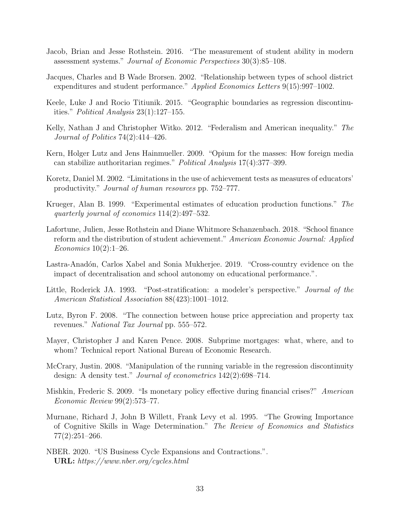- <span id="page-35-7"></span>Jacob, Brian and Jesse Rothstein. 2016. "The measurement of student ability in modern assessment systems." Journal of Economic Perspectives 30(3):85–108.
- <span id="page-35-4"></span>Jacques, Charles and B Wade Brorsen. 2002. "Relationship between types of school district expenditures and student performance." Applied Economics Letters 9(15):997–1002.
- <span id="page-35-9"></span>Keele, Luke J and Rocio Titiunik. 2015. "Geographic boundaries as regression discontinuities." Political Analysis 23(1):127–155.
- <span id="page-35-3"></span>Kelly, Nathan J and Christopher Witko. 2012. "Federalism and American inequality." The Journal of Politics 74(2):414–426.
- <span id="page-35-8"></span>Kern, Holger Lutz and Jens Hainmueller. 2009. "Opium for the masses: How foreign media can stabilize authoritarian regimes." Political Analysis 17(4):377–399.
- <span id="page-35-14"></span>Koretz, Daniel M. 2002. "Limitations in the use of achievement tests as measures of educators' productivity." Journal of human resources pp. 752–777.
- <span id="page-35-5"></span>Krueger, Alan B. 1999. "Experimental estimates of education production functions." The quarterly journal of economics 114(2):497–532.
- <span id="page-35-1"></span>Lafortune, Julien, Jesse Rothstein and Diane Whitmore Schanzenbach. 2018. "School finance reform and the distribution of student achievement." American Economic Journal: Applied Economics 10(2):1–26.
- <span id="page-35-2"></span>Lastra-Anadón, Carlos Xabel and Sonia Mukherjee. 2019. "Cross-country evidence on the impact of decentralisation and school autonomy on educational performance.".
- <span id="page-35-6"></span>Little, Roderick JA. 1993. "Post-stratification: a modeler's perspective." *Journal of the* American Statistical Association 88(423):1001–1012.
- <span id="page-35-13"></span>Lutz, Byron F. 2008. "The connection between house price appreciation and property tax revenues." National Tax Journal pp. 555–572.
- <span id="page-35-11"></span>Mayer, Christopher J and Karen Pence. 2008. Subprime mortgages: what, where, and to whom? Technical report National Bureau of Economic Research.
- <span id="page-35-10"></span>McCrary, Justin. 2008. "Manipulation of the running variable in the regression discontinuity design: A density test." Journal of econometrics 142(2):698–714.
- <span id="page-35-12"></span>Mishkin, Frederic S. 2009. "Is monetary policy effective during financial crises?" American Economic Review 99(2):573–77.
- <span id="page-35-0"></span>Murnane, Richard J, John B Willett, Frank Levy et al. 1995. "The Growing Importance of Cognitive Skills in Wage Determination." The Review of Economics and Statistics 77(2):251–266.
- <span id="page-35-15"></span>NBER. 2020. "US Business Cycle Expansions and Contractions.". URL: https://www.nber.org/cycles.html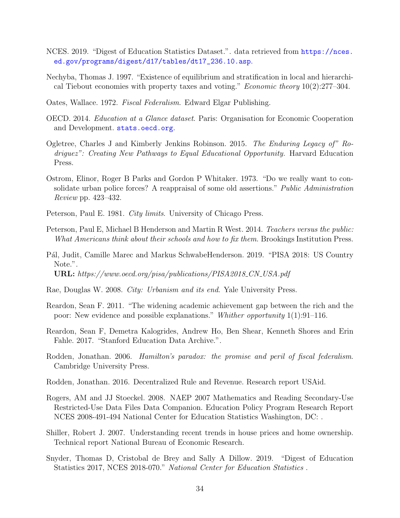- <span id="page-36-13"></span>NCES. 2019. "Digest of Education Statistics Dataset.". data retrieved from [https://nces.](https://nces.ed.gov/programs/digest/d17/tables/dt17_236.10.asp) [ed.gov/programs/digest/d17/tables/dt17\\_236.10.asp](https://nces.ed.gov/programs/digest/d17/tables/dt17_236.10.asp).
- <span id="page-36-16"></span>Nechyba, Thomas J. 1997. "Existence of equilibrium and stratification in local and hierarchical Tiebout economies with property taxes and voting." Economic theory 10(2):277–304.
- <span id="page-36-0"></span>Oates, Wallace. 1972. Fiscal Federalism. Edward Elgar Publishing.
- <span id="page-36-3"></span>OECD. 2014. Education at a Glance dataset. Paris: Organisation for Economic Cooperation and Development. <stats.oecd.org>.
- <span id="page-36-6"></span>Ogletree, Charles J and Kimberly Jenkins Robinson. 2015. The Enduring Legacy of" Rodriguez": Creating New Pathways to Equal Educational Opportunity. Harvard Education Press.
- <span id="page-36-9"></span>Ostrom, Elinor, Roger B Parks and Gordon P Whitaker. 1973. "Do we really want to consolidate urban police forces? A reappraisal of some old assertions." Public Administration Review pp. 423–432.
- <span id="page-36-1"></span>Peterson, Paul E. 1981. *City limits*. University of Chicago Press.
- <span id="page-36-11"></span>Peterson, Paul E, Michael B Henderson and Martin R West. 2014. Teachers versus the public: What Americans think about their schools and how to fix them. Brookings Institution Press.
- <span id="page-36-4"></span>P´al, Judit, Camille Marec and Markus SchwabeHenderson. 2019. "PISA 2018: US Country Note.". URL: https://www.oecd.org/pisa/publications/PISA2018 CN USA.pdf
- <span id="page-36-10"></span>Rae, Douglas W. 2008. City: Urbanism and its end. Yale University Press.
- <span id="page-36-5"></span>Reardon, Sean F. 2011. "The widening academic achievement gap between the rich and the poor: New evidence and possible explanations." Whither opportunity 1(1):91–116.
- <span id="page-36-15"></span>Reardon, Sean F, Demetra Kalogrides, Andrew Ho, Ben Shear, Kenneth Shores and Erin Fahle. 2017. "Stanford Education Data Archive.".
- <span id="page-36-7"></span>Rodden, Jonathan. 2006. Hamilton's paradox: the promise and peril of fiscal federalism. Cambridge University Press.
- <span id="page-36-8"></span>Rodden, Jonathan. 2016. Decentralized Rule and Revenue. Research report USAid.
- <span id="page-36-12"></span>Rogers, AM and JJ Stoeckel. 2008. NAEP 2007 Mathematics and Reading Secondary-Use Restricted-Use Data Files Data Companion. Education Policy Program Research Report NCES 2008-491-494 National Center for Education Statistics Washington, DC: .
- <span id="page-36-14"></span>Shiller, Robert J. 2007. Understanding recent trends in house prices and home ownership. Technical report National Bureau of Economic Research.
- <span id="page-36-2"></span>Snyder, Thomas D, Cristobal de Brey and Sally A Dillow. 2019. "Digest of Education Statistics 2017, NCES 2018-070." National Center for Education Statistics .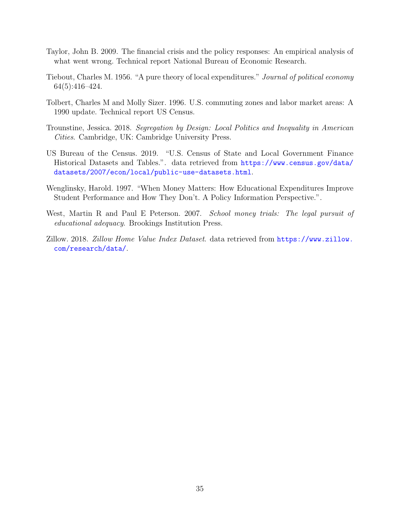- <span id="page-37-7"></span>Taylor, John B. 2009. The financial crisis and the policy responses: An empirical analysis of what went wrong. Technical report National Bureau of Economic Research.
- <span id="page-37-0"></span>Tiebout, Charles M. 1956. "A pure theory of local expenditures." Journal of political economy 64(5):416–424.
- <span id="page-37-4"></span>Tolbert, Charles M and Molly Sizer. 1996. U.S. commuting zones and labor market areas: A 1990 update. Technical report US Census.
- <span id="page-37-3"></span>Trounstine, Jessica. 2018. Segregation by Design: Local Politics and Inequality in American Cities. Cambridge, UK: Cambridge University Press.
- <span id="page-37-1"></span>US Bureau of the Census. 2019. "U.S. Census of State and Local Government Finance Historical Datasets and Tables.". data retrieved from [https://www.census.gov/data/](https://www.census.gov/data/datasets/2007/econ/local/public-use-datasets.html) [datasets/2007/econ/local/public-use-datasets.html](https://www.census.gov/data/datasets/2007/econ/local/public-use-datasets.html).
- <span id="page-37-5"></span>Wenglinsky, Harold. 1997. "When Money Matters: How Educational Expenditures Improve Student Performance and How They Don't. A Policy Information Perspective.".
- <span id="page-37-2"></span>West, Martin R and Paul E Peterson. 2007. School money trials: The legal pursuit of educational adequacy. Brookings Institution Press.
- <span id="page-37-6"></span>Zillow. 2018. Zillow Home Value Index Dataset. data retrieved from [https://www.zillow.](https://www.zillow.com/research/data/) [com/research/data/](https://www.zillow.com/research/data/).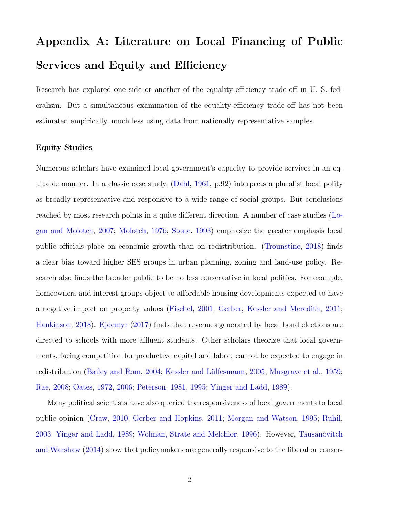# Appendix A: Literature on Local Financing of Public Services and Equity and Efficiency

Research has explored one side or another of the equality-efficiency trade-off in U.S. federalism. But a simultaneous examination of the equality-efficiency trade-off has not been estimated empirically, much less using data from nationally representative samples.

#### Equity Studies

Numerous scholars have examined local government's capacity to provide services in an equitable manner. In a classic case study, (Dahl, 1961, p.92) interprets a pluralist local polity as broadly representative and responsive to [a](#page-42-0) [wide](#page-42-0) [ran](#page-42-0)ge of social groups. But conclusions reached by most research points in a quite different direction. A number of case studies ( $\rm Lo$ gan and Molotch, 2007; Molotch, 1976; Stone, 1993) emphasize the greater emphasis loca[l](#page-43-0) public offi[cials](#page-43-0) [place](#page-43-0) [on](#page-44-0) [ec](#page-43-0)[onomic](#page-43-1) [growth](#page-43-1) [than](#page-44-0) on [redis](#page-44-0)tribution. (Trounstine, 2018) finds a clear bias toward higher SES groups in urban planning, zoning and [land-use](#page-45-0) [policy.](#page-45-0) [R](#page-45-0)esearch also finds the broader public to be no less conservative in local politics. For example, homeowners and interest groups object to affordable housing developments expected to have a negative impact on property values (Fischel, 2001; Gerber, Kessler and Meredith, 2011; Hankinson, 2018). Ejdemyr (2017) finds t[hat](#page-43-2) [revenues](#page-43-2) [ge](#page-43-2)[nerated](#page-43-3) [by](#page-43-3) [local](#page-43-3) [bond](#page-43-3) [elections](#page-43-3) [are](#page-43-3) dir[ected](#page-43-4) [to](#page-43-4) [schools](#page-43-4) [w](#page-43-4)[ith](#page-42-1) [more](#page-42-1) affl[uen](#page-42-1)t students. Other scholars theorize that local governments, facing competition for productive capital and labor, cannot be expected to engage in redistribution (Bailey and Rom, 2004; Kessler and Lülfesmann, 2005; Musgrave et al., 1959; Rae, 2008; Oates, [1972,](#page-42-2) 2006; Peter[son,](#page-42-2) 1981, 1995; [Yinger](#page-43-5) [and](#page-43-5) [Ladd,](#page-43-5) 19[89\).](#page-44-1)

[Many](#page-44-2) [poli](#page-44-2)[tical](#page-44-3) [scientist](#page-44-3)[s](#page-44-4) [have](#page-44-4) [also](#page-44-5) [queried](#page-44-5) [the](#page-44-5) [respo](#page-44-6)[nsiveness](#page-45-1) [of](#page-45-1) [local](#page-45-1) [governm](#page-45-1)ents to local public opinion (Craw, 2010; Gerber and Hopkins, 2011; Morgan and Watson, 1995; Ruhil, 2003; Yinger and [Ladd,](#page-42-3) 1[989;](#page-42-3) [Wolman,](#page-43-6) [Strate](#page-43-6) [and](#page-43-6) [Melchio](#page-43-6)r, [1996\).](#page-43-7) [However,](#page-43-7) Ta[usanov](#page-43-7)[itch](#page-44-7) an[d](#page-44-7) [War](#page-44-7)shaw [\(2014\)](#page-45-1) [show](#page-45-1) t[hat](#page-45-1) [p](#page-45-1)[olicymakers](#page-45-2) [are](#page-45-2) [generally](#page-45-2) [responsive](#page-45-2) [t](#page-45-2)o the libera[l](#page-44-8) [or](#page-44-8) [conser-](#page-44-8)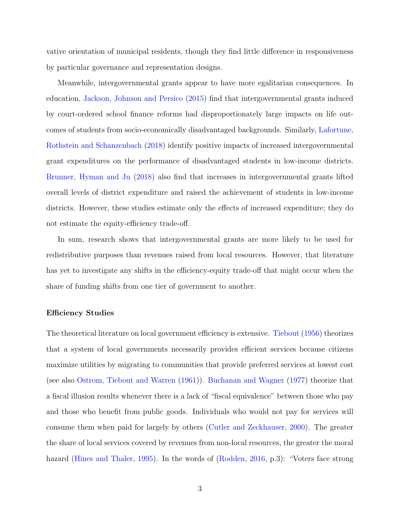vative orientation of municipal residents, though they find little difference in responsiveness by particular governance and representation designs.

Meanwhile, intergovernmental grants appear to have more egalitarian consequences. In education, [Jackson, Johnson and Persico](#page-43-8) [\(2015\)](#page-43-8) find that intergovernmental grants induced by court-ordered school finance reforms had disproportionately large impacts on life outcomes of students from socio-economically disadvantaged backgrounds. Similarly, [Lafortune,](#page-43-9) [Rothstein and Schanzenbach](#page-43-9) [\(2018\)](#page-43-9) identify positive impacts of increased intergovernmental grant expenditures on the performance of disadvantaged students in low-income districts. [Brunner, Hyman and Ju](#page-42-4) [\(2018\)](#page-42-4) also find that increases in intergovernmental grants lifted overall levels of district expenditure and raised the achievement of students in low-income districts. However, these studies estimate only the effects of increased expenditure; they do not estimate the equity-efficiency trade-off.

In sum, research shows that intergovernmental grants are more likely to be used for redistributive purposes than revenues raised from local resources. However, that literature has yet to investigate any shifts in the efficiency-equity trade-off that might occur when the share of funding shifts from one tier of government to another.

#### **Efficiency Studies**

The theoretical literature on local government efficiency is extensive. [Tiebout](#page-45-3) [\(1956\)](#page-45-3) theorizes that a system of local governments necessarily provides efficient services because citizens maximize utilities by migrating to communities that provide preferred services at lowest cost (see also [Ostrom, Tiebout and Warren](#page-44-9) [\(1961\)](#page-44-9)). [Buchanan and Wagner](#page-42-5) [\(1977\)](#page-42-5) theorize that a fiscal illusion results whenever there is a lack of "fiscal equivalence" between those who pay and those who benefit from public goods. Individuals who would not pay for services will consume them when paid for largely by others [\(Cutler and Zeckhauser,](#page-42-6) [2000\)](#page-42-6). The greater the share of local services covered by revenues from non-local resources, the greater the moral hazard [\(Hines and Thaler,](#page-43-10) [1995\)](#page-43-10). In the words of [\(Rodden,](#page-44-10) [2016,](#page-44-10) p.3): "Voters face strong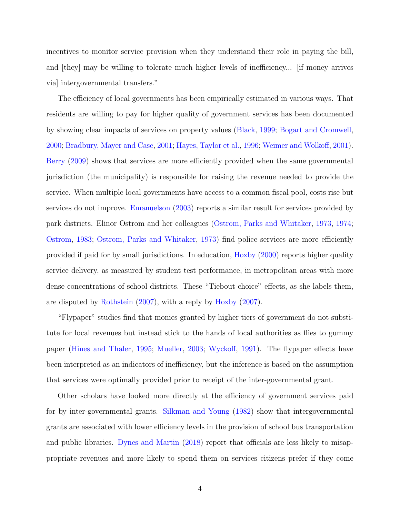incentives to monitor service provision when they understand their role in paying the bill, and  $[they]$  may be willing to tolerate much higher levels of inefficiency... [if money arrives via] intergovernmental transfers."

The efficiency of local governments has been empirically estimated in various ways. That residents are willing to pay for higher quality of government services has been documented by showing clear impacts of services on property values [\(Black,](#page-42-7) [1999;](#page-42-7) [Bogart and Cromwell,](#page-42-8) [2000;](#page-42-8) [Bradbury, Mayer and Case,](#page-42-9) [2001;](#page-42-9) [Hayes, Taylor et al.,](#page-43-11) [1996;](#page-43-11) [Weimer and Wolko](#page-45-4)ff, [2001\)](#page-45-4). [Berry](#page-42-10) [\(2009\)](#page-42-10) shows that services are more efficiently provided when the same governmental jurisdiction (the municipality) is responsible for raising the revenue needed to provide the service. When multiple local governments have access to a common fiscal pool, costs rise but services do not improve. [Emanuelson](#page-42-11) [\(2003\)](#page-42-11) reports a similar result for services provided by park districts. Elinor Ostrom and her colleagues [\(Ostrom, Parks and Whitaker,](#page-44-11) [1973,](#page-44-11) [1974;](#page-44-12) [Ostrom,](#page-44-13) [1983;](#page-44-13) [Ostrom, Parks and Whitaker,](#page-44-11) [1973\)](#page-44-11) find police services are more efficiently provided if paid for by small jurisdictions. In education, [Hoxby](#page-43-12) [\(2000\)](#page-43-12) reports higher quality service delivery, as measured by student test performance, in metropolitan areas with more dense concentrations of school districts. These "Tiebout choice" effects, as she labels them, are disputed by [Rothstein](#page-44-14) [\(2007\)](#page-44-14), with a reply by [Hoxby](#page-43-13) [\(2007\)](#page-43-13).

"Flypaper" studies find that monies granted by higher tiers of government do not substitute for local revenues but instead stick to the hands of local authorities as flies to gummy paper [\(Hines and Thaler,](#page-43-10) [1995;](#page-43-10) [Mueller,](#page-44-15) [2003;](#page-44-15) [Wycko](#page-45-5)ff, [1991\)](#page-45-5). The flypaper effects have been interpreted as an indicators of inefficiency, but the inference is based on the assumption that services were optimally provided prior to receipt of the inter-governmental grant.

Other scholars have looked more directly at the efficiency of government services paid for by inter-governmental grants. [Silkman and Young](#page-44-16) [\(1982\)](#page-44-16) show that intergovernmental grants are associated with lower efficiency levels in the provision of school bus transportation and public libraries. [Dynes and Martin](#page-42-12)  $(2018)$  report that officials are less likely to misappropriate revenues and more likely to spend them on services citizens prefer if they come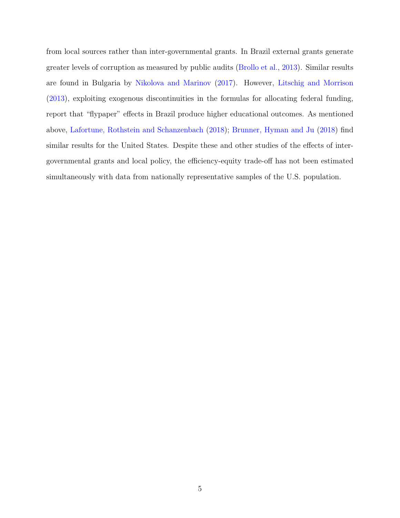from local sources rather than inter-governmental grants. In Brazil external grants generate greater levels of corruption as measured by public audits [\(Brollo et al.,](#page-42-13) [2013\)](#page-42-13). Similar results are found in Bulgaria by [Nikolova and Marinov](#page-44-17) [\(2017\)](#page-44-17). However, [Litschig and Morrison](#page-43-14) [\(2013\)](#page-43-14), exploiting exogenous discontinuities in the formulas for allocating federal funding, report that "flypaper" effects in Brazil produce higher educational outcomes. As mentioned above, [Lafortune, Rothstein and Schanzenbach](#page-43-9) [\(2018\)](#page-43-9); [Brunner, Hyman and Ju](#page-42-4) [\(2018\)](#page-42-4) find similar results for the United States. Despite these and other studies of the effects of intergovernmental grants and local policy, the efficiency-equity trade-off has not been estimated simultaneously with data from nationally representative samples of the U.S. population.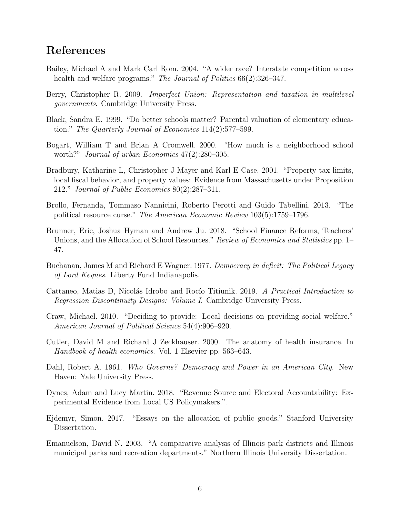## References

- <span id="page-42-2"></span>Bailey, Michael A and Mark Carl Rom. 2004. "A wider race? Interstate competition across health and welfare programs." *The Journal of Politics* 66(2):326–347.
- <span id="page-42-10"></span>Berry, Christopher R. 2009. *Imperfect Union: Representation and taxation in multilevel governments*. Cambridge University Press.
- <span id="page-42-7"></span>Black, Sandra E. 1999. "Do better schools matter? Parental valuation of elementary education." *The Quarterly Journal of Economics* 114(2):577–599.
- <span id="page-42-8"></span>Bogart, William T and Brian A Cromwell. 2000. "How much is a neighborhood school worth?" *Journal of urban Economics* 47(2):280–305.
- <span id="page-42-9"></span>Bradbury, Katharine L, Christopher J Mayer and Karl E Case. 2001. "Property tax limits, local fiscal behavior, and property values: Evidence from Massachusetts under Proposition 212." *Journal of Public Economics* 80(2):287–311.
- <span id="page-42-13"></span>Brollo, Fernanda, Tommaso Nannicini, Roberto Perotti and Guido Tabellini. 2013. "The political resource curse." *The American Economic Review* 103(5):1759–1796.
- <span id="page-42-4"></span>Brunner, Eric, Joshua Hyman and Andrew Ju. 2018. "School Finance Reforms, Teachers' Unions, and the Allocation of School Resources." *Review of Economics and Statistics* pp. 1– 47.
- <span id="page-42-5"></span>Buchanan, James M and Richard E Wagner. 1977. *Democracy in deficit: The Political Legacy of Lord Keynes*. Liberty Fund Indianapolis.
- Cattaneo, Matias D, Nicolás Idrobo and Rocío Titiunik. 2019. *A Practical Introduction to Regression Discontinuity Designs: Volume I*. Cambridge University Press.
- <span id="page-42-3"></span>Craw, Michael. 2010. "Deciding to provide: Local decisions on providing social welfare." *American Journal of Political Science* 54(4):906–920.
- <span id="page-42-6"></span>Cutler, David M and Richard J Zeckhauser. 2000. The anatomy of health insurance. In *Handbook of health economics*. Vol. 1 Elsevier pp. 563–643.
- <span id="page-42-0"></span>Dahl, Robert A. 1961. *Who Governs? Democracy and Power in an American City*. New Haven: Yale University Press.
- <span id="page-42-12"></span>Dynes, Adam and Lucy Martin. 2018. "Revenue Source and Electoral Accountability: Experimental Evidence from Local US Policymakers.".
- <span id="page-42-1"></span>Ejdemyr, Simon. 2017. "Essays on the allocation of public goods." Stanford University Dissertation.
- <span id="page-42-11"></span>Emanuelson, David N. 2003. "A comparative analysis of Illinois park districts and Illinois municipal parks and recreation departments." Northern Illinois University Dissertation.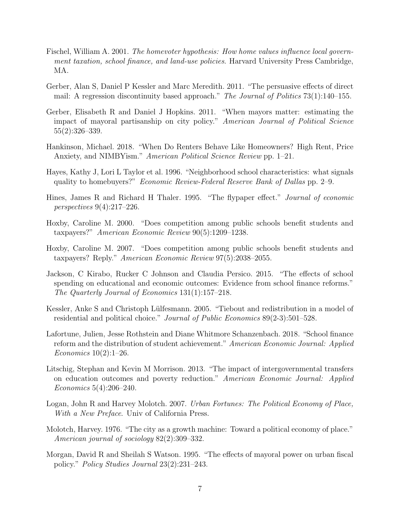- <span id="page-43-2"></span>Fischel, William A. 2001. *The homevoter hypothesis: How home values influence local government taxation, school finance, and land-use policies*. Harvard University Press Cambridge, MA.
- <span id="page-43-3"></span>Gerber, Alan S, Daniel P Kessler and Marc Meredith. 2011. "The persuasive effects of direct mail: A regression discontinuity based approach." *The Journal of Politics* 73(1):140–155.
- <span id="page-43-6"></span>Gerber, Elisabeth R and Daniel J Hopkins. 2011. "When mayors matter: estimating the impact of mayoral partisanship on city policy." *American Journal of Political Science* 55(2):326–339.
- <span id="page-43-4"></span>Hankinson, Michael. 2018. "When Do Renters Behave Like Homeowners? High Rent, Price Anxiety, and NIMBYism." *American Political Science Review* pp. 1–21.
- <span id="page-43-11"></span>Hayes, Kathy J, Lori L Taylor et al. 1996. "Neighborhood school characteristics: what signals quality to homebuyers?" *Economic Review-Federal Reserve Bank of Dallas* pp. 2–9.
- <span id="page-43-10"></span>Hines, James R and Richard H Thaler. 1995. "The flypaper effect." *Journal of economic perspectives* 9(4):217–226.
- <span id="page-43-12"></span>Hoxby, Caroline M. 2000. "Does competition among public schools benefit students and taxpayers?" *American Economic Review* 90(5):1209–1238.
- <span id="page-43-13"></span>Hoxby, Caroline M. 2007. "Does competition among public schools benefit students and taxpayers? Reply." *American Economic Review* 97(5):2038–2055.
- <span id="page-43-8"></span>Jackson, C Kirabo, Rucker C Johnson and Claudia Persico. 2015. "The effects of school spending on educational and economic outcomes: Evidence from school finance reforms." *The Quarterly Journal of Economics* 131(1):157–218.
- <span id="page-43-5"></span>Kessler, Anke S and Christoph Lülfesmann. 2005. "Tiebout and redistribution in a model of residential and political choice." *Journal of Public Economics* 89(2-3):501–528.
- <span id="page-43-9"></span>Lafortune, Julien, Jesse Rothstein and Diane Whitmore Schanzenbach. 2018. "School finance reform and the distribution of student achievement." *American Economic Journal: Applied Economics* 10(2):1–26.
- <span id="page-43-14"></span>Litschig, Stephan and Kevin M Morrison. 2013. "The impact of intergovernmental transfers on education outcomes and poverty reduction." *American Economic Journal: Applied Economics* 5(4):206–240.
- <span id="page-43-0"></span>Logan, John R and Harvey Molotch. 2007. *Urban Fortunes: The Political Economy of Place, With a New Preface*. Univ of California Press.
- <span id="page-43-1"></span>Molotch, Harvey. 1976. "The city as a growth machine: Toward a political economy of place." *American journal of sociology* 82(2):309–332.
- <span id="page-43-7"></span>Morgan, David R and Sheilah S Watson. 1995. "The effects of mayoral power on urban fiscal policy." *Policy Studies Journal* 23(2):231–243.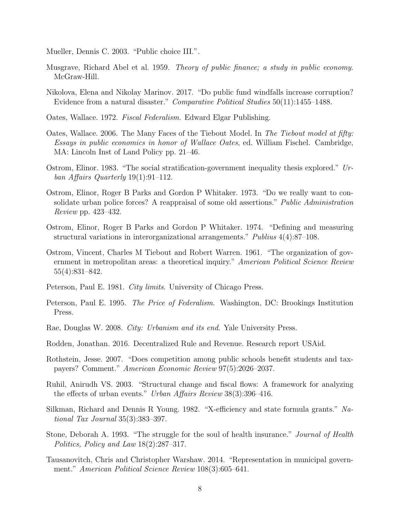<span id="page-44-15"></span>Mueller, Dennis C. 2003. "Public choice III.".

- <span id="page-44-1"></span>Musgrave, Richard Abel et al. 1959. *Theory of public finance; a study in public economy*. McGraw-Hill.
- <span id="page-44-17"></span>Nikolova, Elena and Nikolay Marinov. 2017. "Do public fund windfalls increase corruption? Evidence from a natural disaster." *Comparative Political Studies* 50(11):1455–1488.
- <span id="page-44-3"></span>Oates, Wallace. 1972. *Fiscal Federalism*. Edward Elgar Publishing.
- <span id="page-44-4"></span>Oates, Wallace. 2006. The Many Faces of the Tiebout Model. In *The Tiebout model at fifty: Essays in public economics in honor of Wallace Oates*, ed. William Fischel. Cambridge, MA: Lincoln Inst of Land Policy pp. 21–46.
- <span id="page-44-13"></span>Ostrom, Elinor. 1983. "The social stratification-government inequality thesis explored." *Urban Affairs Quarterly* 19(1):91–112.
- <span id="page-44-11"></span>Ostrom, Elinor, Roger B Parks and Gordon P Whitaker. 1973. "Do we really want to consolidate urban police forces? A reappraisal of some old assertions." *Public Administration Review* pp. 423–432.
- <span id="page-44-12"></span>Ostrom, Elinor, Roger B Parks and Gordon P Whitaker. 1974. "Defining and measuring structural variations in interorganizational arrangements." *Publius* 4(4):87–108.
- <span id="page-44-9"></span>Ostrom, Vincent, Charles M Tiebout and Robert Warren. 1961. "The organization of government in metropolitan areas: a theoretical inquiry." *American Political Science Review* 55(4):831–842.
- <span id="page-44-5"></span>Peterson, Paul E. 1981. *City limits*. University of Chicago Press.
- <span id="page-44-6"></span>Peterson, Paul E. 1995. *The Price of Federalism*. Washington, DC: Brookings Institution Press.
- <span id="page-44-2"></span>Rae, Douglas W. 2008. *City: Urbanism and its end*. Yale University Press.
- <span id="page-44-10"></span>Rodden, Jonathan. 2016. Decentralized Rule and Revenue. Research report USAid.
- <span id="page-44-14"></span>Rothstein, Jesse. 2007. "Does competition among public schools benefit students and taxpayers? Comment." *American Economic Review* 97(5):2026–2037.
- <span id="page-44-7"></span>Ruhil, Anirudh VS. 2003. "Structural change and fiscal flows: A framework for analyzing the effects of urban events." *Urban Affairs Review* 38(3):396–416.
- <span id="page-44-16"></span>Silkman, Richard and Dennis R Young. 1982. "X-efficiency and state formula grants." Na*tional Tax Journal* 35(3):383–397.
- <span id="page-44-0"></span>Stone, Deborah A. 1993. "The struggle for the soul of health insurance." *Journal of Health Politics, Policy and Law* 18(2):287–317.
- <span id="page-44-8"></span>Tausanovitch, Chris and Christopher Warshaw. 2014. "Representation in municipal government." *American Political Science Review* 108(3):605–641.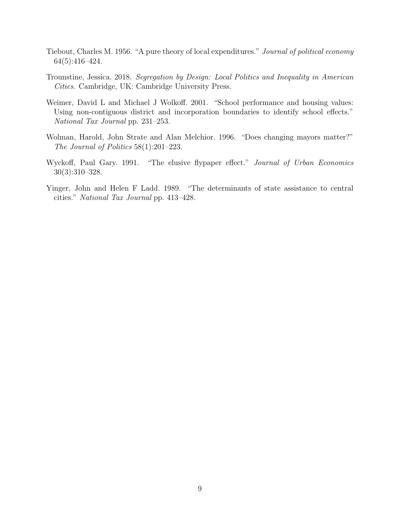- <span id="page-45-3"></span>Tiebout, Charles M. 1956. "A pure theory of local expenditures." *Journal of political economy* 64(5):416–424.
- <span id="page-45-0"></span>Trounstine, Jessica. 2018. *Segregation by Design: Local Politics and Inequality in American Cities*. Cambridge, UK: Cambridge University Press.
- <span id="page-45-4"></span>Weimer, David L and Michael J Wolkoff. 2001. "School performance and housing values: Using non-contiguous district and incorporation boundaries to identify school effects." *National Tax Journal* pp. 231–253.
- <span id="page-45-2"></span>Wolman, Harold, John Strate and Alan Melchior. 1996. "Does changing mayors matter?" *The Journal of Politics* 58(1):201–223.
- <span id="page-45-5"></span>Wyckoff, Paul Gary. 1991. "The elusive flypaper effect." *Journal of Urban Economics* 30(3):310–328.
- <span id="page-45-1"></span>Yinger, John and Helen F Ladd. 1989. "The determinants of state assistance to central cities." *National Tax Journal* pp. 413–428.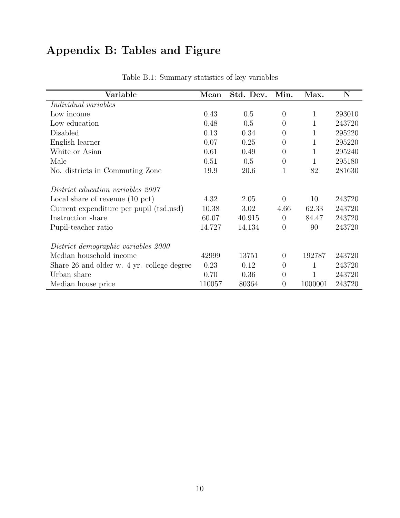# Appendix B: Tables and Figure

| Variable                                   | Mean   | Std. Dev. | Min.           | Max.    | N      |
|--------------------------------------------|--------|-----------|----------------|---------|--------|
| <i>Individual variables</i>                |        |           |                |         |        |
| Low income                                 | 0.43   | 0.5       | $\overline{0}$ | 1       | 293010 |
| Low education                              | 0.48   | 0.5       | $\theta$       | 1       | 243720 |
| Disabled                                   | 0.13   | 0.34      | $\theta$       | 1       | 295220 |
| English learner                            | 0.07   | 0.25      | $\overline{0}$ | 1       | 295220 |
| White or Asian                             | 0.61   | 0.49      | $\overline{0}$ | 1       | 295240 |
| Male                                       | 0.51   | 0.5       | $\overline{0}$ | 1       | 295180 |
| No. districts in Commuting Zone            | 19.9   | 20.6      | 1              | 82      | 281630 |
| <i>District education variables 2007</i>   |        |           |                |         |        |
| Local share of revenue $(10 \text{ pct})$  | 4.32   | 2.05      | $\theta$       | 10      | 243720 |
| Current expenditure per pupil (tsd.usd)    | 10.38  | 3.02      | 4.66           | 62.33   | 243720 |
| Instruction share                          | 60.07  | 40.915    | $\overline{0}$ | 84.47   | 243720 |
| Pupil-teacher ratio                        | 14.727 | 14.134    | $\overline{0}$ | 90      | 243720 |
| District demographic variables 2000        |        |           |                |         |        |
| Median household income                    | 42999  | 13751     | $\theta$       | 192787  | 243720 |
| Share 26 and older w. 4 yr. college degree | 0.23   | 0.12      | $\overline{0}$ | 1       | 243720 |
| Urban share                                | 0.70   | 0.36      | $\overline{0}$ | 1       | 243720 |
| Median house price                         | 110057 | 80364     | $\overline{0}$ | 1000001 | 243720 |

Table B.1: Summary statistics of key variables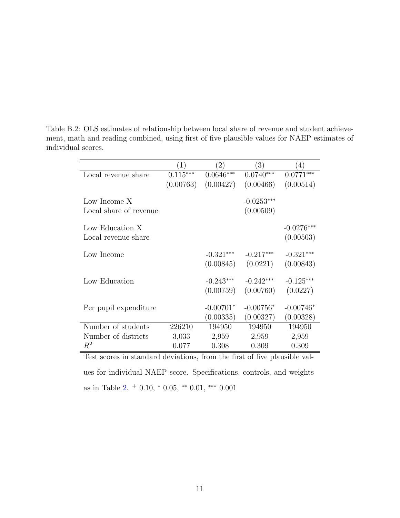Table B.2: OLS estimates of relationship between local share of revenue and student achievement, math and reading combined, using first of five plausible values for NAEP estimates of individual scores.

|                                                                                                              | $\left(1\right)$ | $\left( 2\right)$ | $\left(3\right)$ | $\left(4\right)$ |  |  |  |  |
|--------------------------------------------------------------------------------------------------------------|------------------|-------------------|------------------|------------------|--|--|--|--|
| Local revenue share                                                                                          | $0.115***$       | $0.0646***$       | $0.0740***$      | $0.0771***$      |  |  |  |  |
|                                                                                                              | (0.00763)        | (0.00427)         | (0.00466)        | (0.00514)        |  |  |  |  |
|                                                                                                              |                  |                   |                  |                  |  |  |  |  |
| Low Income X                                                                                                 |                  |                   | $-0.0253***$     |                  |  |  |  |  |
| Local share of revenue                                                                                       |                  |                   | (0.00509)        |                  |  |  |  |  |
| Low Education X                                                                                              |                  |                   |                  | $-0.0276***$     |  |  |  |  |
| Local revenue share                                                                                          |                  |                   |                  |                  |  |  |  |  |
|                                                                                                              |                  |                   |                  | (0.00503)        |  |  |  |  |
| Low Income                                                                                                   |                  | $-0.321***$       | $-0.217***$      | $-0.321***$      |  |  |  |  |
|                                                                                                              |                  | (0.00845)         | (0.0221)         | (0.00843)        |  |  |  |  |
| Low Education                                                                                                |                  | $-0.243***$       | $-0.242***$      | $-0.125***$      |  |  |  |  |
|                                                                                                              |                  |                   |                  |                  |  |  |  |  |
|                                                                                                              |                  | (0.00759)         | (0.00760)        | (0.0227)         |  |  |  |  |
| Per pupil expenditure                                                                                        |                  | $-0.00701*$       | $-0.00756*$      | $-0.00746*$      |  |  |  |  |
|                                                                                                              |                  | (0.00335)         | (0.00327)        | (0.00328)        |  |  |  |  |
| Number of students                                                                                           | 226210           | 194950            | 194950           | 194950           |  |  |  |  |
| Number of districts                                                                                          | 3,033            | 2,959             | 2,959            | 2,959            |  |  |  |  |
| $\,R^2$                                                                                                      | 0.077            | 0.308             | 0.309            | 0.309            |  |  |  |  |
| $\mathbf{1}$<br>$1 \quad 1$<br>c.<br>$\mathbf{1}$ $\mathbf{1}$ $\mathbf{1}$<br>$c \cap$<br>.<br>L.<br>.<br>m |                  |                   |                  |                  |  |  |  |  |

Test scores in standard deviations, from the first of five plausible values for individual NAEP score. Specifications, controls, and weights as in Table [2.](#page-53-0)  $+$  0.10,  $*$  0.05,  $**$  0.01,  $***$  0.001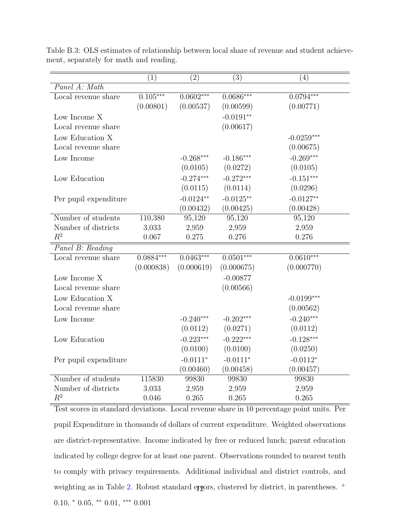|                       | (1)         | $\left( 2\right)$ | (3)         | (4)                    |
|-----------------------|-------------|-------------------|-------------|------------------------|
| Panel A: Math         |             |                   |             |                        |
| Local revenue share   | $0.105***$  | $0.0602***$       | $0.0686***$ | $0.0794***$            |
|                       | (0.00801)   | (0.00537)         | (0.00599)   | (0.00771)              |
| Low Income X          |             |                   | $-0.0191**$ |                        |
| Local revenue share   |             |                   | (0.00617)   |                        |
| Low Education X       |             |                   |             | $-0.0259***$           |
| Local revenue share   |             |                   |             | (0.00675)              |
| Low Income            |             | $-0.268***$       | $-0.186***$ | $-0.269***$            |
|                       |             | (0.0105)          | (0.0272)    | (0.0105)               |
| Low Education         |             | $-0.274***$       | $-0.272***$ | $-0.151***$            |
|                       |             | (0.0115)          | (0.0114)    | (0.0296)               |
| Per pupil expenditure |             | $-0.0124**$       | $-0.0125**$ | $-0.0127**$            |
|                       |             | (0.00432)         | (0.00425)   | (0.00428)              |
| Number of students    | 110,380     | 95,120            | 95,120      | 95,120                 |
| Number of districts   | 3,033       | 2,959             | 2,959       | 2,959                  |
| $R^2$                 | 0.067       | 0.275             | 0.276       | 0.276                  |
| Panel B: Reading      |             |                   |             |                        |
| Local revenue share   | $0.0884***$ | $0.0463***$       | $0.0501***$ | $0.06\overline{10***}$ |
|                       | (0.000838)  | (0.000619)        | (0.000675)  | (0.000770)             |
| Low Income X          |             |                   | $-0.00877$  |                        |
| Local revenue share   |             |                   | (0.00566)   |                        |
| Low Education X       |             |                   |             | $-0.0199***$           |
| Local revenue share   |             |                   |             | (0.00562)              |
| Low Income            |             | $-0.240***$       | $-0.202***$ | $-0.240***$            |
|                       |             | (0.0112)          | (0.0271)    | (0.0112)               |
| Low Education         |             | $-0.223***$       | $-0.222***$ | $-0.128***$            |
|                       |             | (0.0100)          | (0.0100)    | (0.0250)               |
| Per pupil expenditure |             | $-0.0111*$        | $-0.0111*$  | $-0.0112*$             |
|                       |             | (0.00460)         | (0.00458)   | (0.00457)              |
| Number of students    | 115830      | 99830             | 99830       | 99830                  |
| Number of districts   | 3,033       | 2,959             | 2,959       | 2,959                  |
| $R^2$                 | 0.046       | 0.265             | 0.265       | 0.265                  |

Table B.3: OLS estimates of relationship between local share of revenue and student achievement, separately for math and reading.

Test scores in standard deviations. Local revenue share in 10 percentage point units. Per pupil Expenditure in thousands of dollars of current expenditure. Weighted observations are district-representative. Income indicated by free or reduced lunch; parent education indicated by college degree for at least one parent. Observations rounded to nearest tenth to comply with privacy requirements. Additional individual and district controls, and weighting as in Table [2.](#page-53-0) Robust standard ergors, clustered by district, in parentheses.  $^+$  $0.10, *0.05, **0.01, **0.001$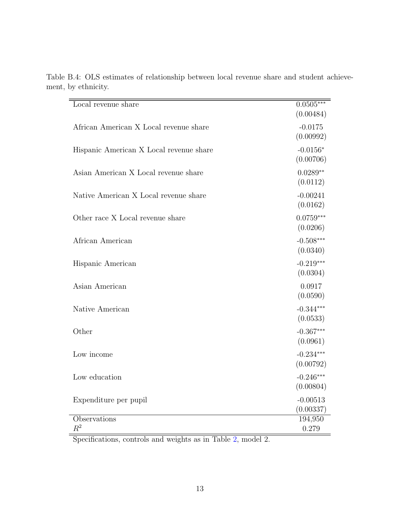| Local revenue share                     | $0.0505***$<br>(0.00484) |
|-----------------------------------------|--------------------------|
| African American X Local revenue share  | $-0.0175$<br>(0.00992)   |
| Hispanic American X Local revenue share | $-0.0156*$<br>(0.00706)  |
| Asian American X Local revenue share    | $0.0289**$<br>(0.0112)   |
| Native American X Local revenue share   | $-0.00241$<br>(0.0162)   |
| Other race X Local revenue share        | $0.0759***$<br>(0.0206)  |
| African American                        | $-0.508***$<br>(0.0340)  |
| Hispanic American                       | $-0.219***$<br>(0.0304)  |
| Asian American                          | 0.0917<br>(0.0590)       |
| Native American                         | $-0.344***$<br>(0.0533)  |
| Other                                   | $-0.367***$<br>(0.0961)  |
| Low income                              | $-0.234***$<br>(0.00792) |
| Low education                           | $-0.246***$<br>(0.00804) |
| Expenditure per pupil                   | $-0.00513$<br>(0.00337)  |
| Observations<br>$R^2$                   | 194,950<br>0.279         |

<span id="page-49-0"></span>Table B.4: OLS estimates of relationship between local revenue share and student achievement, by ethnicity.

Specifications, controls and weights as in Table [2,](#page-53-0) model 2.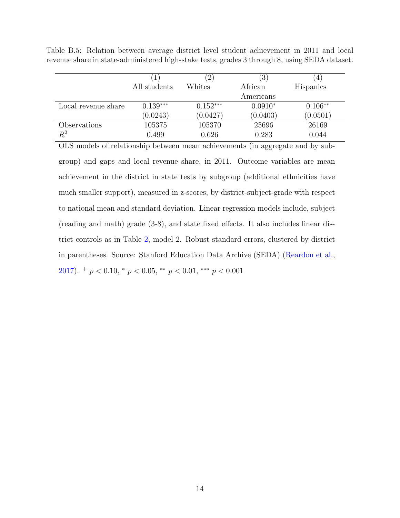$(1)$   $(2)$   $(3)$   $(4)$ All students Whites African Americans Hispanics Local revenue share  $0.139***$   $0.152***$   $0.0910*$   $0.106**$  $(0.0243)$   $(0.0427)$   $(0.0403)$   $(0.0501)$ Observations 105375 105370 25696 26169 *R*<sup>2</sup> 0.499 0.626 0.283 0.044

Table B.5: Relation between average district level student achievement in 2011 and local revenue share in state-administered high-stake tests, grades 3 through 8, using SEDA dataset.

OLS models of relationship between mean achievements (in aggregate and by subgroup) and gaps and local revenue share, in 2011. Outcome variables are mean achievement in the district in state tests by subgroup (additional ethnicities have much smaller support), measured in z-scores, by district-subject-grade with respect to national mean and standard deviation. Linear regression models include, subject  $(\text{reading and math})$  grade  $(3-8)$ , and state fixed effects. It also includes linear district controls as in Table [2,](#page-53-0) model 2. Robust standard errors, clustered by district in parentheses. Source: Stanford Education Data Archive (SEDA) (Reardon et al.,  $2017$ .  $^{+}$   $p < 0.10, ^{*}$   $p < 0.05, ^{**}$   $p < 0.01, ^{***}$   $p < 0.001$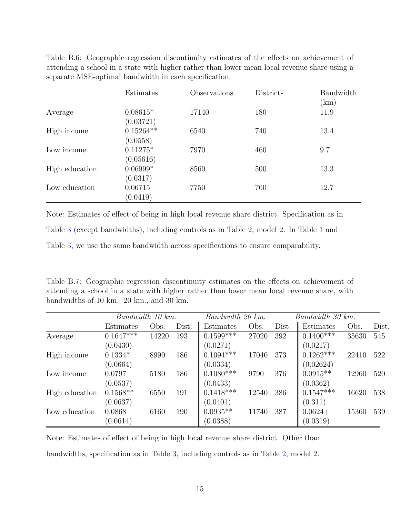|                | Estimates               | Observations | Districts | Bandwidth<br>(km) |
|----------------|-------------------------|--------------|-----------|-------------------|
| Average        | $0.08615*$<br>(0.03721) | 17140        | 180       | 11.9              |
| High income    | $0.15264**$<br>(0.0558) | 6540         | 740       | 13.4              |
| Low income     | $0.11275*$<br>(0.05616) | 7970         | 460       | 9.7               |
| High education | $0.06999*$<br>(0.0317)  | 8560         | 500       | 13.3              |
| Low education  | 0.06715<br>(0.0419)     | 7750         | 760       | 12.7              |

Table B.6: Geographic regression discontinuity estimates of the effects on achievement of attending a school in a state with higher rather than lower mean local revenue share using a separate MSE-optimal bandwidth in each specification.

Note: Estimates of effect of being in high local revenue share district. Specification as in

Table 3 (except bandwidths), including controls as in Table [2,](#page-53-0) model 2. In Table [1](#page-49-0) and

Table 3, we use the same bandwidth across specifications to ensure comparability.

Table B.7: Geographic regression discontinuity estimates on the effects on achievement of attending a school in a state with higher rather than lower mean local revenue share, with bandwidths of 10 km., 20 km., and 30 km.

|                | Bandwidth 10 km. |       |       | Bandwidth 20 km. |       | Bandwidth 30 km. |             |       |       |
|----------------|------------------|-------|-------|------------------|-------|------------------|-------------|-------|-------|
|                | Estimates        | Obs.  | Dist. | Estimates        | Obs.  | Dist.            | Estimates   | Obs.  | Dist. |
| Average        | $0.1647***$      | 14220 | 193   | $0.1599***$      | 27020 | 392              | $0.1400***$ | 35630 | 545   |
|                | (0.0430)         |       |       | (0.0271)         |       |                  | (0.0217)    |       |       |
| High income    | $0.1334*$        | 8990  | 186   | $0.1094***$      | 17040 | 373              | $0.1262***$ | 22410 | 522   |
|                | (0.0664)         |       |       | (0.0334)         |       |                  | (0.02624)   |       |       |
| Low income     | 0.0797           | 5180  | 186   | $0.1080***$      | 9790  | 376              | $0.0915**$  | 12960 | 520   |
|                | (0.0537)         |       |       | (0.0433)         |       |                  | (0.0362)    |       |       |
| High education | $0.1568**$       | 6550  | 191   | $0.1418***$      | 12540 | 386              | $0.1547***$ | 16620 | 538   |
|                | (0.0637)         |       |       | (0.0401)         |       |                  | (0.311)     |       |       |
| Low education  | 0.0868           | 6160  | 190   | $0.0935**$       | 11740 | 387              | $0.0624+$   | 15360 | 539   |
|                | (0.0614)         |       |       | (0.0388)         |       |                  | (0.0319)    |       |       |

Note: Estimates of effect of being in high local revenue share district. Other than bandwidths, specification as in Table 3, including controls as in Table [2,](#page-53-0) model 2.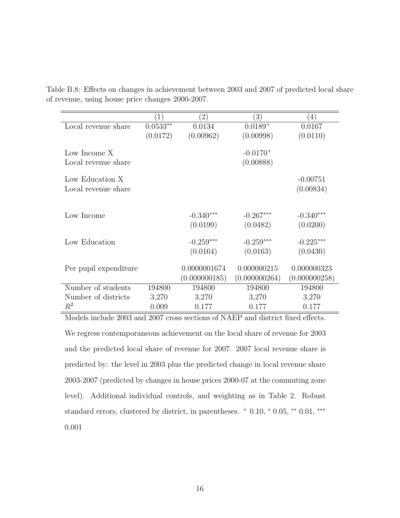|                       | $\left(1\right)$ | $\left( 2\right)$ | $\left( 3\right)$ | $\left(4\right)$ |
|-----------------------|------------------|-------------------|-------------------|------------------|
| Local revenue share   | $0.0533**$       | 0.0134            | $0.0189 +$        | 0.0167           |
|                       | (0.0172)         | (0.00962)         | (0.00998)         | (0.0110)         |
|                       |                  |                   |                   |                  |
| Low Income X          |                  |                   | $-0.0170^{+}$     |                  |
| Local revenue share   |                  |                   | (0.00888)         |                  |
| Low Education X       |                  |                   |                   | $-0.00751$       |
| Local revenue share   |                  |                   |                   | (0.00834)        |
|                       |                  |                   |                   |                  |
|                       |                  |                   |                   |                  |
| Low Income            |                  | $-0.340***$       | $-0.267***$       | $-0.340***$      |
|                       |                  | (0.0199)          | (0.0482)          | (0.0200)         |
|                       |                  |                   |                   |                  |
| Low Education         |                  | $-0.259***$       | $-0.259***$       | $-0.225***$      |
|                       |                  | (0.0164)          | (0.0163)          | (0.0430)         |
| Per pupil expenditure |                  | 0.0000001674      | 0.000000215       | 0.000000323      |
|                       |                  | (0.000000185)     |                   |                  |
|                       |                  |                   | (0.000000264)     | (0.000000258)    |
| Number of students    | 194800           | 194800            | 194800            | 194800           |
| Number of districts   | 3,270            | 3,270             | 3,270             | 3,270            |
| $\mathbb{R}^2$        | 0.009            | 0.177             | 0.177             | 0.177            |

Table B.8: Effects on changes in achievement between 2003 and 2007 of predicted local share of revenue, using house price changes 2000-2007.

Models include  $2003$  and  $2007$  cross sections of NAEP and district fixed effects. We regress contemporaneous achievement on the local share of revenue for 2003 and the predicted local share of revenue for 2007. 2007 local revenue share is predicted by: the level in 2003 plus the predicted change in local revenue share 2003-2007 (predicted by changes in house prices 2000-07 at the commuting zone level). Additional individual controls, and weighting as in Table 2. Robust standard errors, clustered by district, in parentheses.  $+$  0.10,  $*$  0.05,  $**$  0.01, \*\*\* 0*.*001